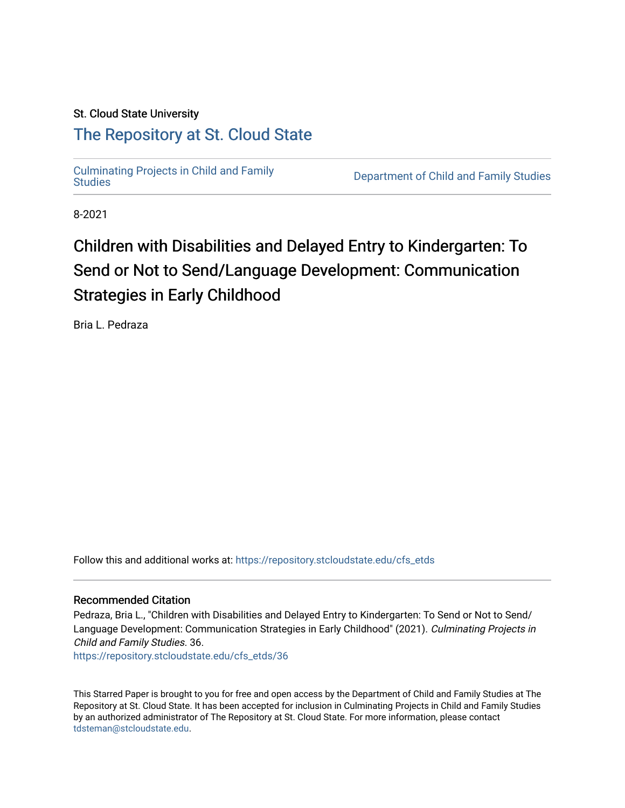# St. Cloud State University

# [The Repository at St. Cloud State](https://repository.stcloudstate.edu/)

[Culminating Projects in Child and Family](https://repository.stcloudstate.edu/cfs_etds) 

Department of Child and Family Studies

8-2021

# Children with Disabilities and Delayed Entry to Kindergarten: To Send or Not to Send/Language Development: Communication Strategies in Early Childhood

Bria L. Pedraza

Follow this and additional works at: [https://repository.stcloudstate.edu/cfs\\_etds](https://repository.stcloudstate.edu/cfs_etds?utm_source=repository.stcloudstate.edu%2Fcfs_etds%2F36&utm_medium=PDF&utm_campaign=PDFCoverPages)

### Recommended Citation

Pedraza, Bria L., "Children with Disabilities and Delayed Entry to Kindergarten: To Send or Not to Send/ Language Development: Communication Strategies in Early Childhood" (2021). Culminating Projects in Child and Family Studies. 36.

[https://repository.stcloudstate.edu/cfs\\_etds/36](https://repository.stcloudstate.edu/cfs_etds/36?utm_source=repository.stcloudstate.edu%2Fcfs_etds%2F36&utm_medium=PDF&utm_campaign=PDFCoverPages) 

This Starred Paper is brought to you for free and open access by the Department of Child and Family Studies at The Repository at St. Cloud State. It has been accepted for inclusion in Culminating Projects in Child and Family Studies by an authorized administrator of The Repository at St. Cloud State. For more information, please contact [tdsteman@stcloudstate.edu](mailto:tdsteman@stcloudstate.edu).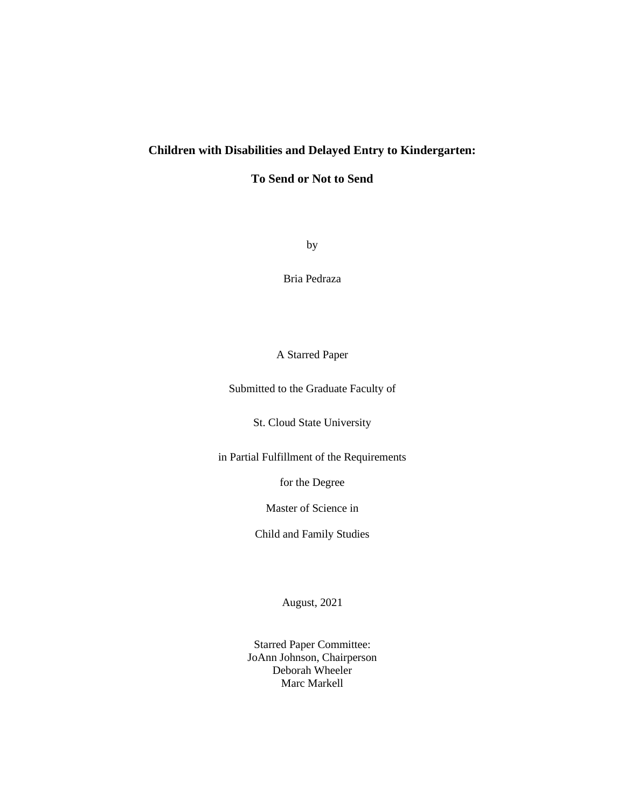# **Children with Disabilities and Delayed Entry to Kindergarten:**

**To Send or Not to Send**

by

Bria Pedraza

# A Starred Paper

Submitted to the Graduate Faculty of

St. Cloud State University

in Partial Fulfillment of the Requirements

for the Degree

Master of Science in

Child and Family Studies

August, 2021

Starred Paper Committee: JoAnn Johnson, Chairperson Deborah Wheeler Marc Markell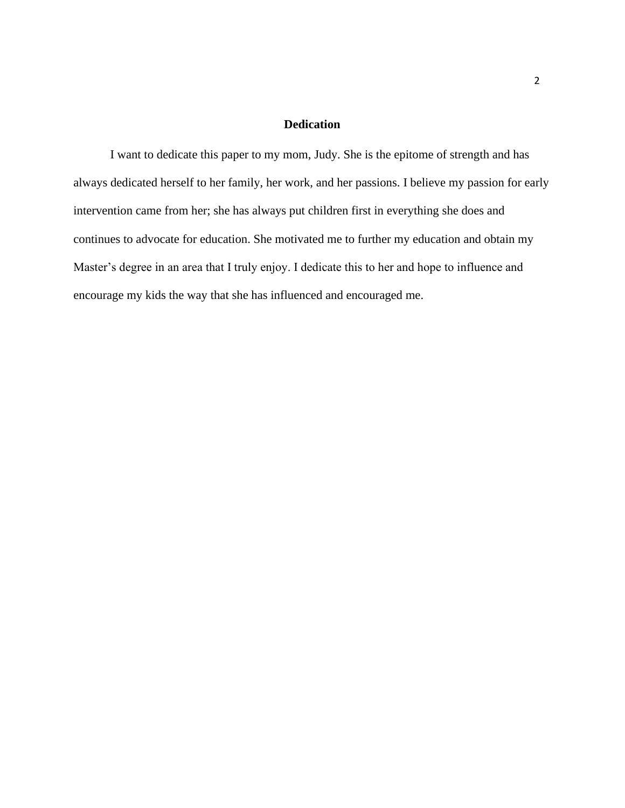### **Dedication**

I want to dedicate this paper to my mom, Judy. She is the epitome of strength and has always dedicated herself to her family, her work, and her passions. I believe my passion for early intervention came from her; she has always put children first in everything she does and continues to advocate for education. She motivated me to further my education and obtain my Master's degree in an area that I truly enjoy. I dedicate this to her and hope to influence and encourage my kids the way that she has influenced and encouraged me.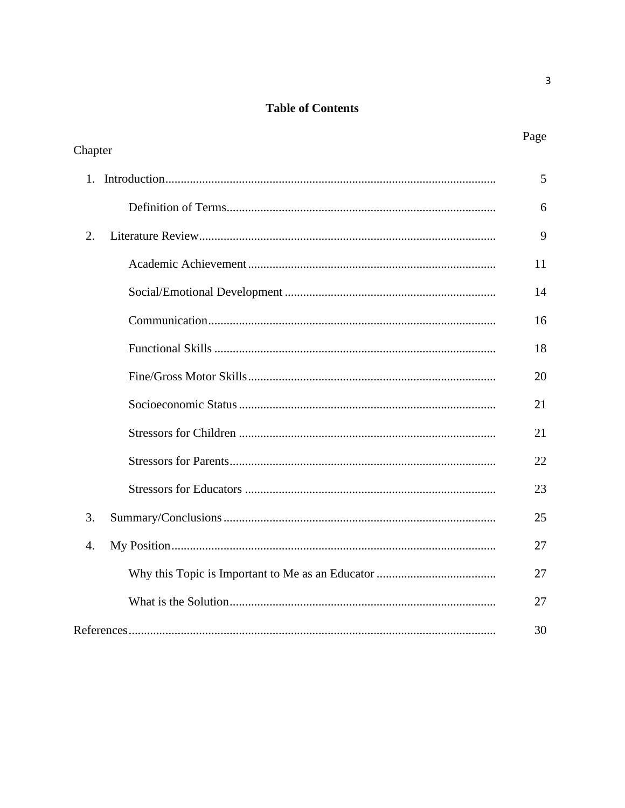# **Table of Contents**

|                  | Page |
|------------------|------|
| Chapter          |      |
|                  | 5    |
|                  | 6    |
| 2.               | 9    |
|                  | 11   |
|                  | 14   |
|                  | 16   |
|                  | 18   |
|                  | 20   |
|                  | 21   |
|                  | 21   |
|                  | 22   |
|                  | 23   |
| 3.               | 25   |
| $\overline{4}$ . | 27   |
|                  | 27   |
|                  | 27   |
|                  | 30   |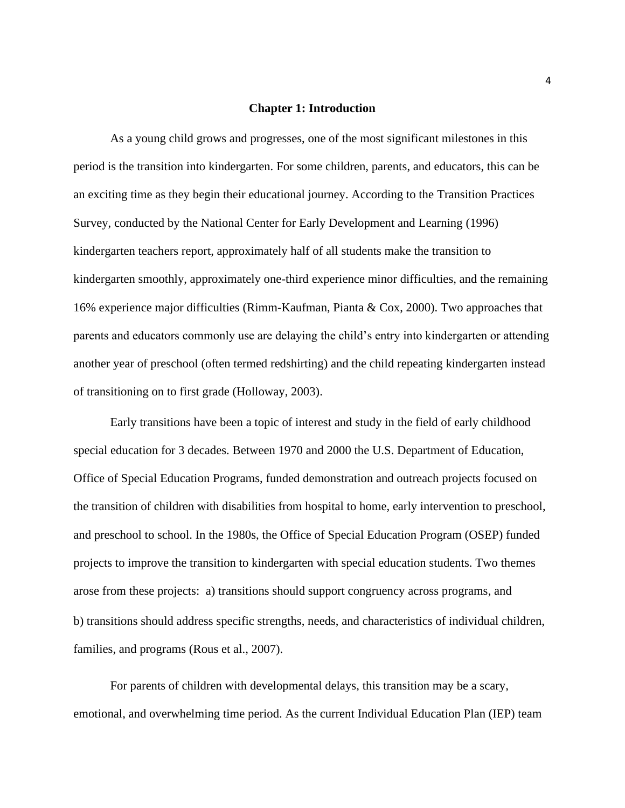### **Chapter 1: Introduction**

As a young child grows and progresses, one of the most significant milestones in this period is the transition into kindergarten. For some children, parents, and educators, this can be an exciting time as they begin their educational journey. According to the Transition Practices Survey, conducted by the National Center for Early Development and Learning (1996) kindergarten teachers report, approximately half of all students make the transition to kindergarten smoothly, approximately one-third experience minor difficulties, and the remaining 16% experience major difficulties (Rimm-Kaufman, Pianta & Cox, 2000). Two approaches that parents and educators commonly use are delaying the child's entry into kindergarten or attending another year of preschool (often termed redshirting) and the child repeating kindergarten instead of transitioning on to first grade (Holloway, 2003).

Early transitions have been a topic of interest and study in the field of early childhood special education for 3 decades. Between 1970 and 2000 the U.S. Department of Education, Office of Special Education Programs, funded demonstration and outreach projects focused on the transition of children with disabilities from hospital to home, early intervention to preschool, and preschool to school. In the 1980s, the Office of Special Education Program (OSEP) funded projects to improve the transition to kindergarten with special education students. Two themes arose from these projects: a) transitions should support congruency across programs, and b) transitions should address specific strengths, needs, and characteristics of individual children, families, and programs (Rous et al., 2007).

For parents of children with developmental delays, this transition may be a scary, emotional, and overwhelming time period. As the current Individual Education Plan (IEP) team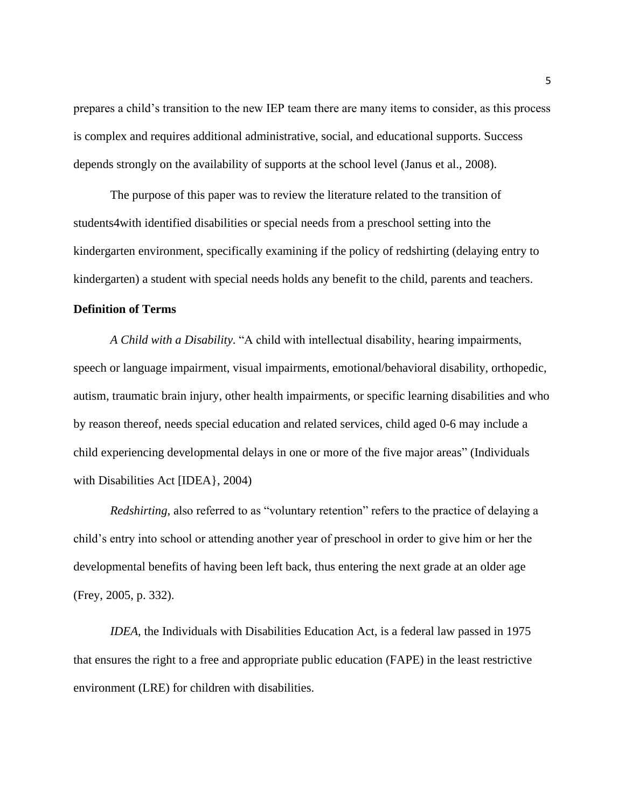prepares a child's transition to the new IEP team there are many items to consider, as this process is complex and requires additional administrative, social, and educational supports. Success depends strongly on the availability of supports at the school level (Janus et al., 2008).

The purpose of this paper was to review the literature related to the transition of students4with identified disabilities or special needs from a preschool setting into the kindergarten environment, specifically examining if the policy of redshirting (delaying entry to kindergarten) a student with special needs holds any benefit to the child, parents and teachers.

### **Definition of Terms**

*A Child with a Disability*. "A child with intellectual disability, hearing impairments, speech or language impairment, visual impairments, emotional/behavioral disability, orthopedic, autism, traumatic brain injury, other health impairments, or specific learning disabilities and who by reason thereof, needs special education and related services, child aged 0-6 may include a child experiencing developmental delays in one or more of the five major areas" (Individuals with Disabilities Act [IDEA}, 2004)

*Redshirting*, also referred to as "voluntary retention" refers to the practice of delaying a child's entry into school or attending another year of preschool in order to give him or her the developmental benefits of having been left back, thus entering the next grade at an older age (Frey, 2005, p. 332).

*IDEA*, the Individuals with Disabilities Education Act, is a federal law passed in 1975 that ensures the right to a free and appropriate public education (FAPE) in the least restrictive environment (LRE) for children with disabilities.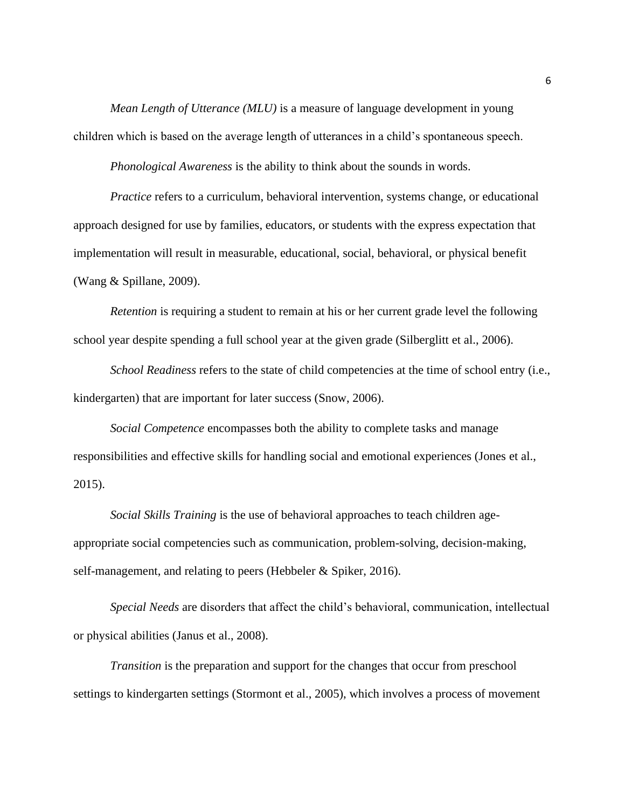*Mean Length of Utterance (MLU)* is a measure of language development in young children which is based on the average length of utterances in a child's spontaneous speech.

*Phonological Awareness* is the ability to think about the sounds in words.

*Practice* refers to a curriculum, behavioral intervention, systems change, or educational approach designed for use by families, educators, or students with the express expectation that implementation will result in measurable, educational, social, behavioral, or physical benefit (Wang & Spillane, 2009).

*Retention* is requiring a student to remain at his or her current grade level the following school year despite spending a full school year at the given grade (Silberglitt et al., 2006).

*School Readiness* refers to the state of child competencies at the time of school entry (i.e., kindergarten) that are important for later success (Snow, 2006).

*Social Competence* encompasses both the ability to complete tasks and manage responsibilities and effective skills for handling social and emotional experiences (Jones et al., 2015).

*Social Skills Training* is the use of behavioral approaches to teach children ageappropriate social competencies such as communication, problem-solving, decision-making, self-management, and relating to peers (Hebbeler & Spiker, 2016).

*Special Needs* are disorders that affect the child's behavioral, communication, intellectual or physical abilities (Janus et al., 2008).

*Transition* is the preparation and support for the changes that occur from preschool settings to kindergarten settings (Stormont et al., 2005), which involves a process of movement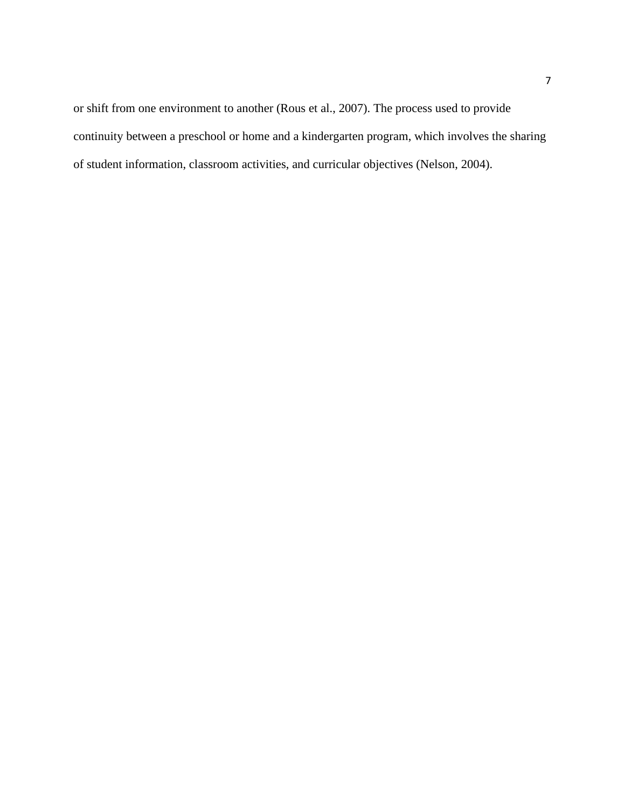or shift from one environment to another (Rous et al., 2007). The process used to provide continuity between a preschool or home and a kindergarten program, which involves the sharing of student information, classroom activities, and curricular objectives (Nelson, 2004).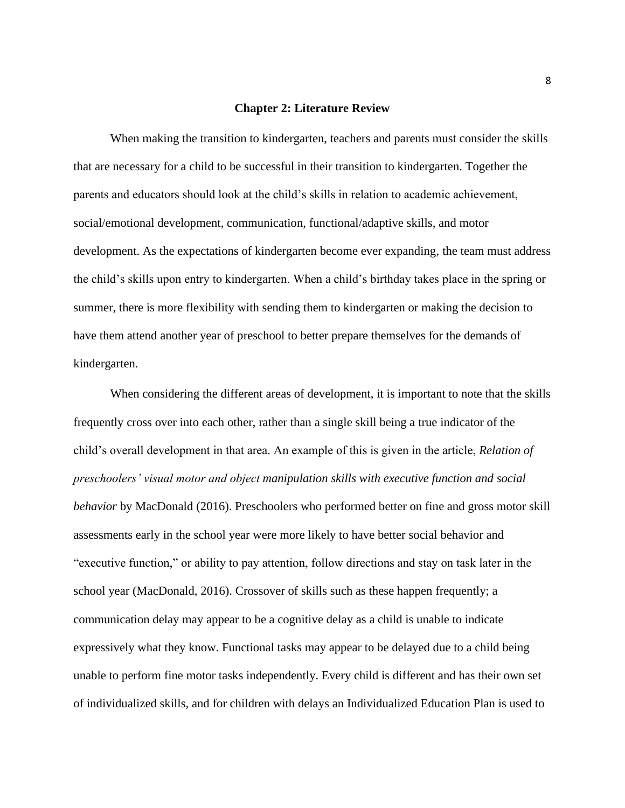### **Chapter 2: Literature Review**

When making the transition to kindergarten, teachers and parents must consider the skills that are necessary for a child to be successful in their transition to kindergarten. Together the parents and educators should look at the child's skills in relation to academic achievement, social/emotional development, communication, functional/adaptive skills, and motor development. As the expectations of kindergarten become ever expanding, the team must address the child's skills upon entry to kindergarten. When a child's birthday takes place in the spring or summer, there is more flexibility with sending them to kindergarten or making the decision to have them attend another year of preschool to better prepare themselves for the demands of kindergarten.

When considering the different areas of development, it is important to note that the skills frequently cross over into each other, rather than a single skill being a true indicator of the child's overall development in that area. An example of this is given in the article, *Relation of preschoolers' visual motor and object manipulation skills with executive function and social behavior* by MacDonald (2016). Preschoolers who performed better on fine and gross motor skill assessments early in the school year were more likely to have better social behavior and "executive function," or ability to pay attention, follow directions and stay on task later in the school year (MacDonald, 2016). Crossover of skills such as these happen frequently; a communication delay may appear to be a cognitive delay as a child is unable to indicate expressively what they know. Functional tasks may appear to be delayed due to a child being unable to perform fine motor tasks independently. Every child is different and has their own set of individualized skills, and for children with delays an Individualized Education Plan is used to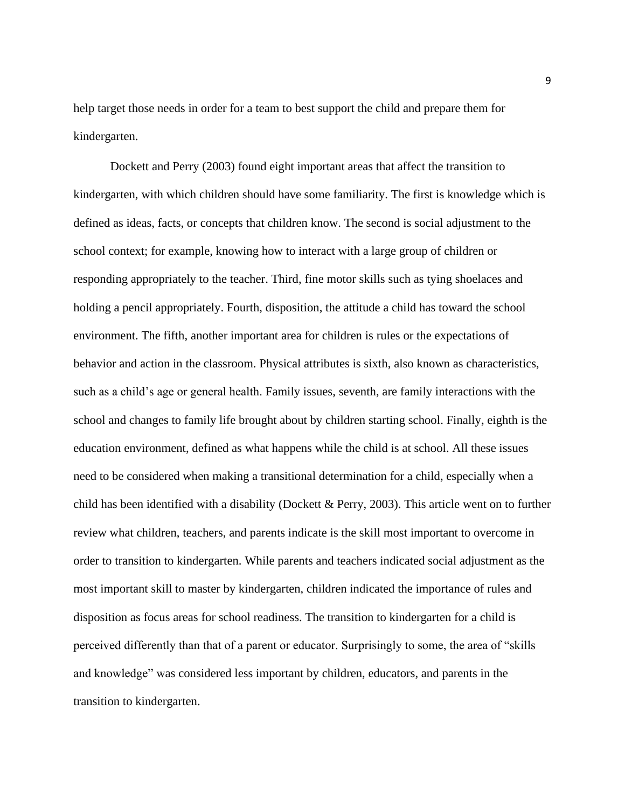help target those needs in order for a team to best support the child and prepare them for kindergarten.

Dockett and Perry (2003) found eight important areas that affect the transition to kindergarten, with which children should have some familiarity. The first is knowledge which is defined as ideas, facts, or concepts that children know. The second is social adjustment to the school context; for example, knowing how to interact with a large group of children or responding appropriately to the teacher. Third, fine motor skills such as tying shoelaces and holding a pencil appropriately. Fourth, disposition, the attitude a child has toward the school environment. The fifth, another important area for children is rules or the expectations of behavior and action in the classroom. Physical attributes is sixth, also known as characteristics, such as a child's age or general health. Family issues, seventh, are family interactions with the school and changes to family life brought about by children starting school. Finally, eighth is the education environment, defined as what happens while the child is at school. All these issues need to be considered when making a transitional determination for a child, especially when a child has been identified with a disability (Dockett & Perry, 2003). This article went on to further review what children, teachers, and parents indicate is the skill most important to overcome in order to transition to kindergarten. While parents and teachers indicated social adjustment as the most important skill to master by kindergarten, children indicated the importance of rules and disposition as focus areas for school readiness. The transition to kindergarten for a child is perceived differently than that of a parent or educator. Surprisingly to some, the area of "skills and knowledge" was considered less important by children, educators, and parents in the transition to kindergarten.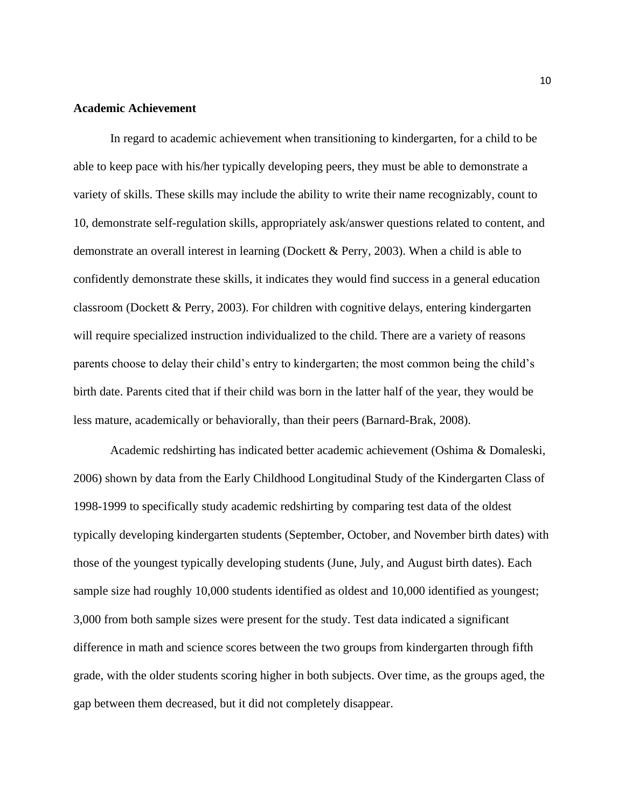### **Academic Achievement**

In regard to academic achievement when transitioning to kindergarten, for a child to be able to keep pace with his/her typically developing peers, they must be able to demonstrate a variety of skills. These skills may include the ability to write their name recognizably, count to 10, demonstrate self-regulation skills, appropriately ask/answer questions related to content, and demonstrate an overall interest in learning (Dockett & Perry, 2003). When a child is able to confidently demonstrate these skills, it indicates they would find success in a general education classroom (Dockett & Perry, 2003). For children with cognitive delays, entering kindergarten will require specialized instruction individualized to the child. There are a variety of reasons parents choose to delay their child's entry to kindergarten; the most common being the child's birth date. Parents cited that if their child was born in the latter half of the year, they would be less mature, academically or behaviorally, than their peers (Barnard-Brak, 2008).

Academic redshirting has indicated better academic achievement (Oshima & Domaleski, 2006) shown by data from the Early Childhood Longitudinal Study of the Kindergarten Class of 1998-1999 to specifically study academic redshirting by comparing test data of the oldest typically developing kindergarten students (September, October, and November birth dates) with those of the youngest typically developing students (June, July, and August birth dates). Each sample size had roughly 10,000 students identified as oldest and 10,000 identified as youngest; 3,000 from both sample sizes were present for the study. Test data indicated a significant difference in math and science scores between the two groups from kindergarten through fifth grade, with the older students scoring higher in both subjects. Over time, as the groups aged, the gap between them decreased, but it did not completely disappear.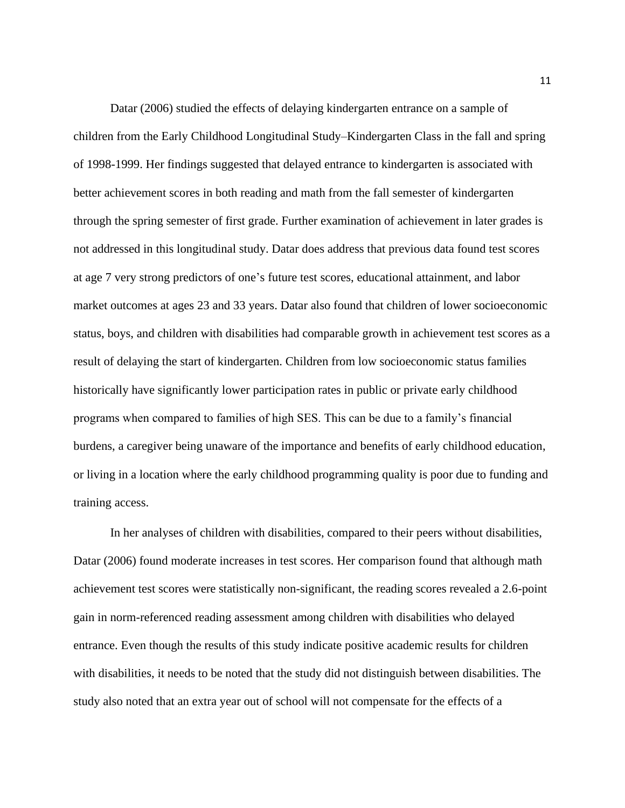Datar (2006) studied the effects of delaying kindergarten entrance on a sample of children from the Early Childhood Longitudinal Study–Kindergarten Class in the fall and spring of 1998-1999. Her findings suggested that delayed entrance to kindergarten is associated with better achievement scores in both reading and math from the fall semester of kindergarten through the spring semester of first grade. Further examination of achievement in later grades is not addressed in this longitudinal study. Datar does address that previous data found test scores at age 7 very strong predictors of one's future test scores, educational attainment, and labor market outcomes at ages 23 and 33 years. Datar also found that children of lower socioeconomic status, boys, and children with disabilities had comparable growth in achievement test scores as a result of delaying the start of kindergarten. Children from low socioeconomic status families historically have significantly lower participation rates in public or private early childhood programs when compared to families of high SES. This can be due to a family's financial burdens, a caregiver being unaware of the importance and benefits of early childhood education, or living in a location where the early childhood programming quality is poor due to funding and training access.

In her analyses of children with disabilities, compared to their peers without disabilities, Datar (2006) found moderate increases in test scores. Her comparison found that although math achievement test scores were statistically non-significant, the reading scores revealed a 2.6-point gain in norm-referenced reading assessment among children with disabilities who delayed entrance. Even though the results of this study indicate positive academic results for children with disabilities, it needs to be noted that the study did not distinguish between disabilities. The study also noted that an extra year out of school will not compensate for the effects of a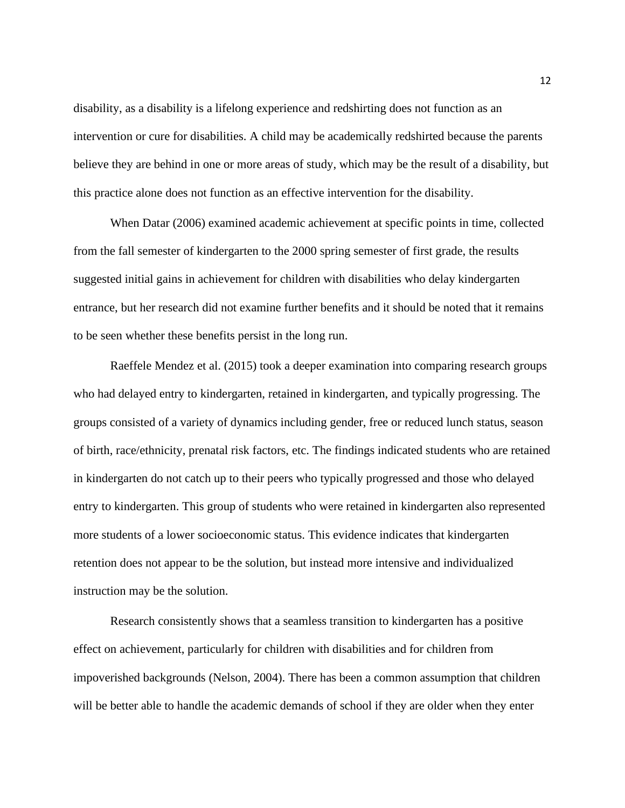disability, as a disability is a lifelong experience and redshirting does not function as an intervention or cure for disabilities. A child may be academically redshirted because the parents believe they are behind in one or more areas of study, which may be the result of a disability, but this practice alone does not function as an effective intervention for the disability.

When Datar (2006) examined academic achievement at specific points in time, collected from the fall semester of kindergarten to the 2000 spring semester of first grade, the results suggested initial gains in achievement for children with disabilities who delay kindergarten entrance, but her research did not examine further benefits and it should be noted that it remains to be seen whether these benefits persist in the long run.

Raeffele Mendez et al. (2015) took a deeper examination into comparing research groups who had delayed entry to kindergarten, retained in kindergarten, and typically progressing. The groups consisted of a variety of dynamics including gender, free or reduced lunch status, season of birth, race/ethnicity, prenatal risk factors, etc. The findings indicated students who are retained in kindergarten do not catch up to their peers who typically progressed and those who delayed entry to kindergarten. This group of students who were retained in kindergarten also represented more students of a lower socioeconomic status. This evidence indicates that kindergarten retention does not appear to be the solution, but instead more intensive and individualized instruction may be the solution.

Research consistently shows that a seamless transition to kindergarten has a positive effect on achievement, particularly for children with disabilities and for children from impoverished backgrounds (Nelson, 2004). There has been a common assumption that children will be better able to handle the academic demands of school if they are older when they enter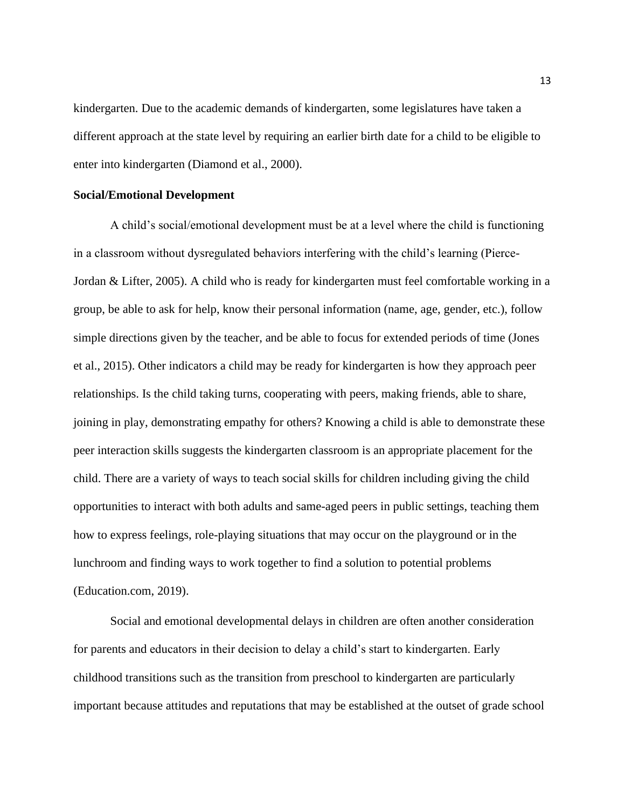kindergarten. Due to the academic demands of kindergarten, some legislatures have taken a different approach at the state level by requiring an earlier birth date for a child to be eligible to enter into kindergarten (Diamond et al., 2000).

### **Social/Emotional Development**

A child's social/emotional development must be at a level where the child is functioning in a classroom without dysregulated behaviors interfering with the child's learning (Pierce-Jordan & Lifter, 2005). A child who is ready for kindergarten must feel comfortable working in a group, be able to ask for help, know their personal information (name, age, gender, etc.), follow simple directions given by the teacher, and be able to focus for extended periods of time (Jones et al., 2015). Other indicators a child may be ready for kindergarten is how they approach peer relationships. Is the child taking turns, cooperating with peers, making friends, able to share, joining in play, demonstrating empathy for others? Knowing a child is able to demonstrate these peer interaction skills suggests the kindergarten classroom is an appropriate placement for the child. There are a variety of ways to teach social skills for children including giving the child opportunities to interact with both adults and same-aged peers in public settings, teaching them how to express feelings, role-playing situations that may occur on the playground or in the lunchroom and finding ways to work together to find a solution to potential problems (Education.com, 2019).

Social and emotional developmental delays in children are often another consideration for parents and educators in their decision to delay a child's start to kindergarten. Early childhood transitions such as the transition from preschool to kindergarten are particularly important because attitudes and reputations that may be established at the outset of grade school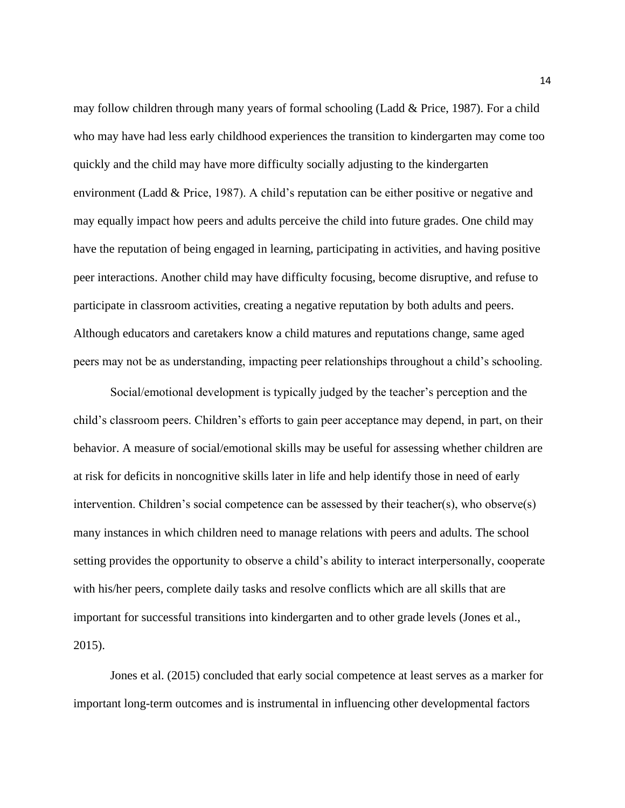may follow children through many years of formal schooling (Ladd & Price, 1987). For a child who may have had less early childhood experiences the transition to kindergarten may come too quickly and the child may have more difficulty socially adjusting to the kindergarten environment (Ladd & Price, 1987). A child's reputation can be either positive or negative and may equally impact how peers and adults perceive the child into future grades. One child may have the reputation of being engaged in learning, participating in activities, and having positive peer interactions. Another child may have difficulty focusing, become disruptive, and refuse to participate in classroom activities, creating a negative reputation by both adults and peers. Although educators and caretakers know a child matures and reputations change, same aged peers may not be as understanding, impacting peer relationships throughout a child's schooling.

Social/emotional development is typically judged by the teacher's perception and the child's classroom peers. Children's efforts to gain peer acceptance may depend, in part, on their behavior. A measure of social/emotional skills may be useful for assessing whether children are at risk for deficits in noncognitive skills later in life and help identify those in need of early intervention. Children's social competence can be assessed by their teacher(s), who observe(s) many instances in which children need to manage relations with peers and adults. The school setting provides the opportunity to observe a child's ability to interact interpersonally, cooperate with his/her peers, complete daily tasks and resolve conflicts which are all skills that are important for successful transitions into kindergarten and to other grade levels (Jones et al., 2015).

 Jones et al. (2015) concluded that early social competence at least serves as a marker for important long-term outcomes and is instrumental in influencing other developmental factors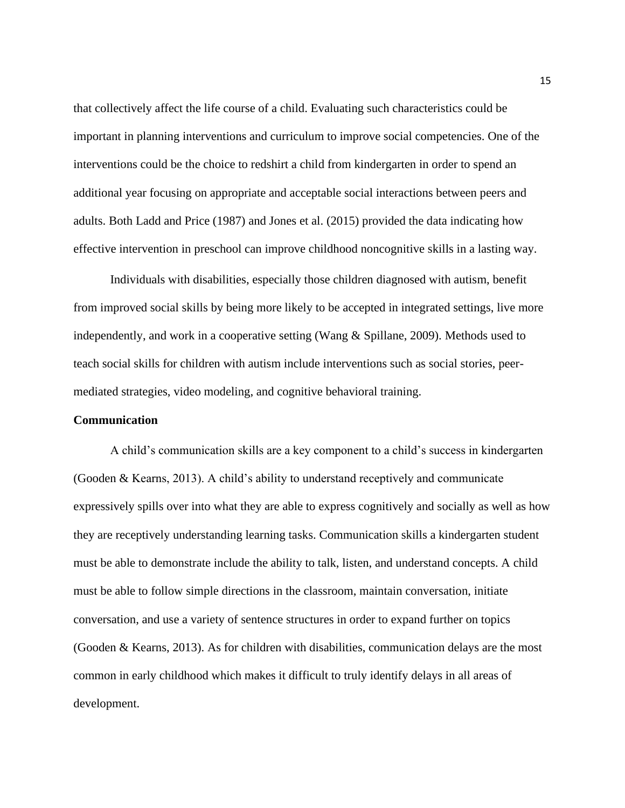that collectively affect the life course of a child. Evaluating such characteristics could be important in planning interventions and curriculum to improve social competencies. One of the interventions could be the choice to redshirt a child from kindergarten in order to spend an additional year focusing on appropriate and acceptable social interactions between peers and adults. Both Ladd and Price (1987) and Jones et al. (2015) provided the data indicating how effective intervention in preschool can improve childhood noncognitive skills in a lasting way.

Individuals with disabilities, especially those children diagnosed with autism, benefit from improved social skills by being more likely to be accepted in integrated settings, live more independently, and work in a cooperative setting (Wang & Spillane, 2009). Methods used to teach social skills for children with autism include interventions such as social stories, peermediated strategies, video modeling, and cognitive behavioral training.

### **Communication**

A child's communication skills are a key component to a child's success in kindergarten (Gooden & Kearns, 2013). A child's ability to understand receptively and communicate expressively spills over into what they are able to express cognitively and socially as well as how they are receptively understanding learning tasks. Communication skills a kindergarten student must be able to demonstrate include the ability to talk, listen, and understand concepts. A child must be able to follow simple directions in the classroom, maintain conversation, initiate conversation, and use a variety of sentence structures in order to expand further on topics (Gooden & Kearns, 2013). As for children with disabilities, communication delays are the most common in early childhood which makes it difficult to truly identify delays in all areas of development.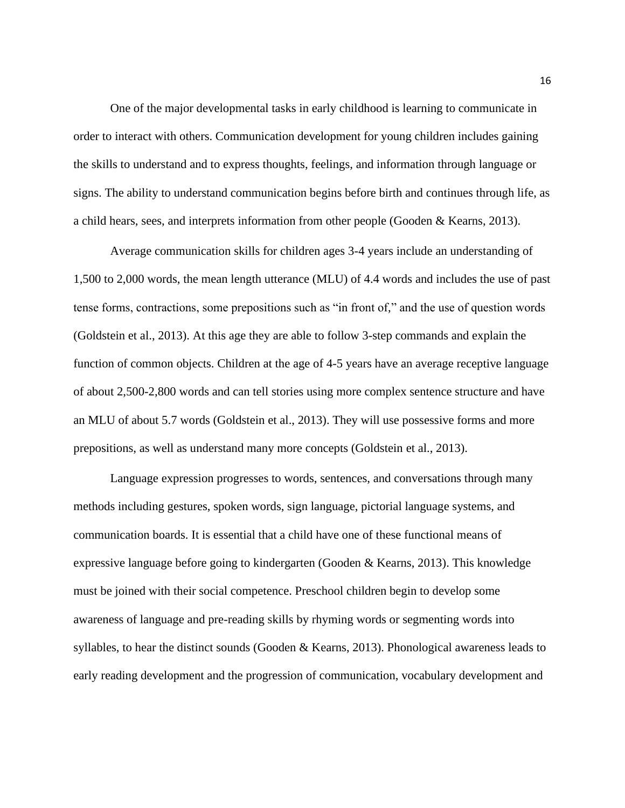One of the major developmental tasks in early childhood is learning to communicate in order to interact with others. Communication development for young children includes gaining the skills to understand and to express thoughts, feelings, and information through language or signs. The ability to understand communication begins before birth and continues through life, as a child hears, sees, and interprets information from other people (Gooden & Kearns, 2013).

Average communication skills for children ages 3-4 years include an understanding of 1,500 to 2,000 words, the mean length utterance (MLU) of 4.4 words and includes the use of past tense forms, contractions, some prepositions such as "in front of," and the use of question words (Goldstein et al., 2013). At this age they are able to follow 3-step commands and explain the function of common objects. Children at the age of 4-5 years have an average receptive language of about 2,500-2,800 words and can tell stories using more complex sentence structure and have an MLU of about 5.7 words (Goldstein et al., 2013). They will use possessive forms and more prepositions, as well as understand many more concepts (Goldstein et al., 2013).

Language expression progresses to words, sentences, and conversations through many methods including gestures, spoken words, sign language, pictorial language systems, and communication boards. It is essential that a child have one of these functional means of expressive language before going to kindergarten (Gooden  $\&$  Kearns, 2013). This knowledge must be joined with their social competence. Preschool children begin to develop some awareness of language and pre-reading skills by rhyming words or segmenting words into syllables, to hear the distinct sounds (Gooden & Kearns, 2013). Phonological awareness leads to early reading development and the progression of communication, vocabulary development and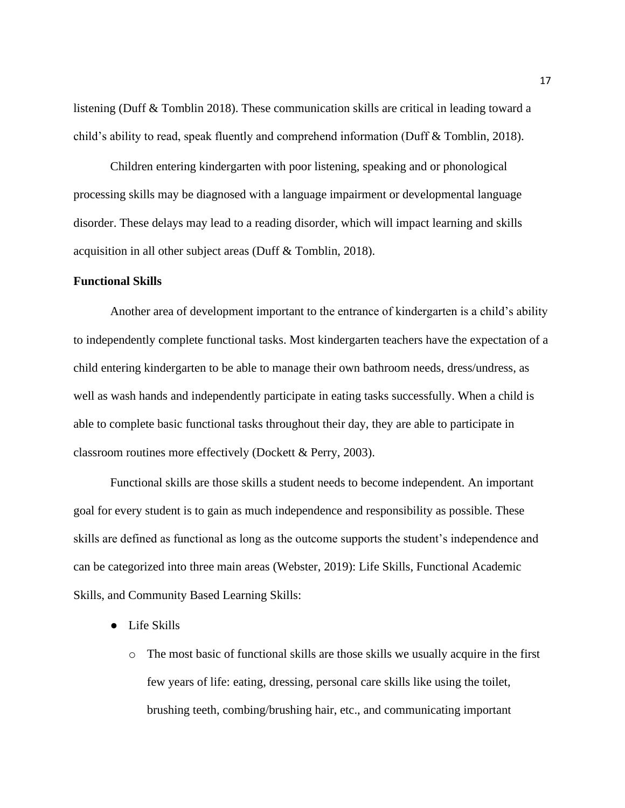listening (Duff & Tomblin 2018). These communication skills are critical in leading toward a child's ability to read, speak fluently and comprehend information (Duff & Tomblin, 2018).

Children entering kindergarten with poor listening, speaking and or phonological processing skills may be diagnosed with a language impairment or developmental language disorder. These delays may lead to a reading disorder, which will impact learning and skills acquisition in all other subject areas (Duff & Tomblin, 2018).

### **Functional Skills**

Another area of development important to the entrance of kindergarten is a child's ability to independently complete functional tasks. Most kindergarten teachers have the expectation of a child entering kindergarten to be able to manage their own bathroom needs, dress/undress, as well as wash hands and independently participate in eating tasks successfully. When a child is able to complete basic functional tasks throughout their day, they are able to participate in classroom routines more effectively (Dockett & Perry, 2003).

Functional skills are those skills a student needs to become independent. An important goal for every student is to gain as much independence and responsibility as possible. These skills are defined as functional as long as the outcome supports the student's independence and can be categorized into three main areas (Webster, 2019): Life Skills, Functional Academic Skills, and Community Based Learning Skills:

- Life Skills
	- o The most basic of functional skills are those skills we usually acquire in the first few years of life: eating, dressing, personal care skills like using the toilet, brushing teeth, combing/brushing hair, etc., and communicating important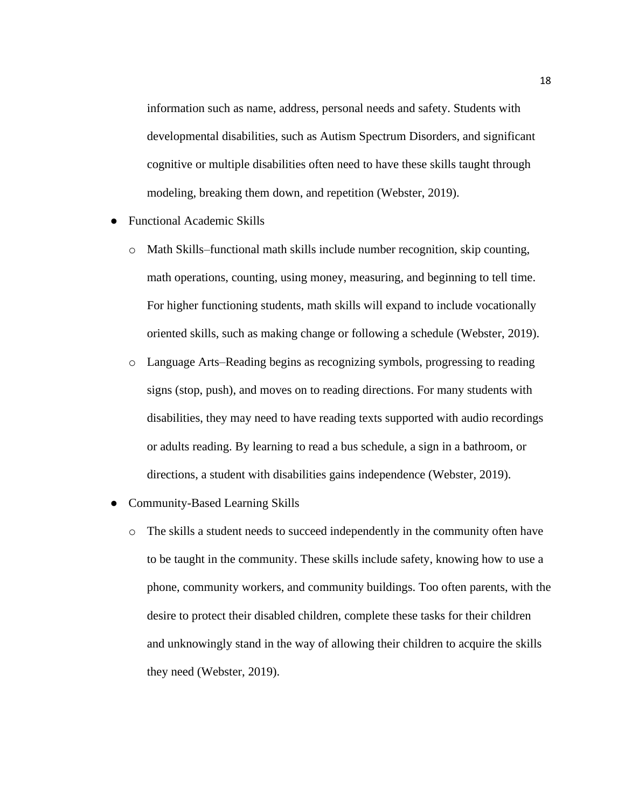information such as name, address, personal needs and safety. Students with developmental disabilities, such as Autism Spectrum Disorders, and significant cognitive or multiple disabilities often need to have these skills taught through modeling, breaking them down, and repetition (Webster, 2019).

- Functional Academic Skills
	- o Math Skills[–functional math skills](https://www.thoughtco.com/functional-math-skills-that-support-independence-3111105) include number recognition, skip counting, math operations, counting, using money, measuring, and beginning to tell time. For higher functioning students, math skills will expand to include vocationally oriented skills, such as making change or following a schedule (Webster, 2019).
	- o Language Arts–Reading begins as recognizing symbols, progressing to reading signs (stop, push), and moves on to reading directions. For many students with disabilities, they may need to have reading texts supported with audio recordings or adults reading. By learning to read a bus schedule, a sign in a bathroom, or directions, a student with disabilities gains independence (Webster, 2019).
- **Community-Based Learning Skills** 
	- o The skills a student needs to succeed independently in the community often have to be taught in the community. These skills include safety, knowing how to use a phone, community workers, and community buildings. Too often parents, with the desire to protect their disabled children, complete these tasks for their children and unknowingly stand in the way of allowing their children to acquire the skills they need (Webster, 2019).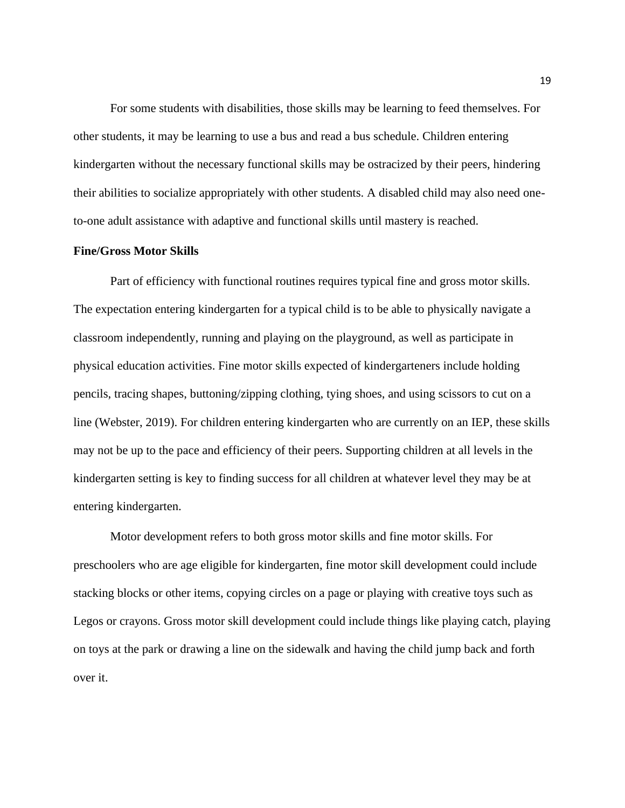For some students with disabilities, those skills may be learning to feed themselves. For other students, it may be learning to use a bus and read a bus schedule. Children entering kindergarten without the necessary functional skills may be ostracized by their peers, hindering their abilities to socialize appropriately with other students. A disabled child may also need oneto-one adult assistance with adaptive and functional skills until mastery is reached.

### **Fine/Gross Motor Skills**

Part of efficiency with functional routines requires typical fine and gross motor skills. The expectation entering kindergarten for a typical child is to be able to physically navigate a classroom independently, running and playing on the playground, as well as participate in physical education activities. Fine motor skills expected of kindergarteners include holding pencils, tracing shapes, buttoning/zipping clothing, tying shoes, and using scissors to cut on a line (Webster, 2019). For children entering kindergarten who are currently on an IEP, these skills may not be up to the pace and efficiency of their peers. Supporting children at all levels in the kindergarten setting is key to finding success for all children at whatever level they may be at entering kindergarten.

Motor development refers to both gross motor skills and fine motor skills. For preschoolers who are age eligible for kindergarten, fine motor skill development could include stacking blocks or other items, copying circles on a page or playing with creative toys such as Legos or crayons. Gross motor skill development could include things like playing catch, playing on toys at the park or drawing a line on the sidewalk and having the child jump back and forth over it.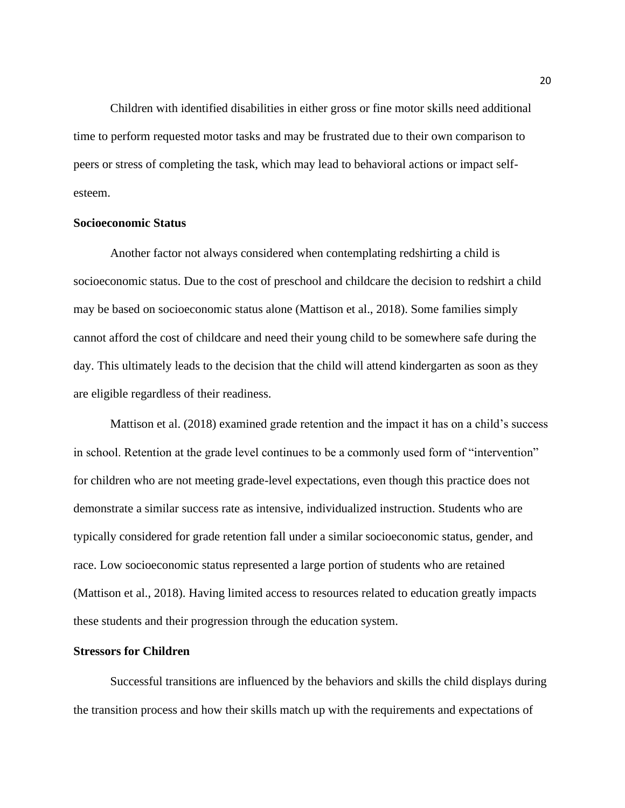Children with identified disabilities in either gross or fine motor skills need additional time to perform requested motor tasks and may be frustrated due to their own comparison to peers or stress of completing the task, which may lead to behavioral actions or impact selfesteem.

### **Socioeconomic Status**

Another factor not always considered when contemplating redshirting a child is socioeconomic status. Due to the cost of preschool and childcare the decision to redshirt a child may be based on socioeconomic status alone (Mattison et al., 2018). Some families simply cannot afford the cost of childcare and need their young child to be somewhere safe during the day. This ultimately leads to the decision that the child will attend kindergarten as soon as they are eligible regardless of their readiness.

Mattison et al. (2018) examined grade retention and the impact it has on a child's success in school. Retention at the grade level continues to be a commonly used form of "intervention" for children who are not meeting grade-level expectations, even though this practice does not demonstrate a similar success rate as intensive, individualized instruction. Students who are typically considered for grade retention fall under a similar socioeconomic status, gender, and race. Low socioeconomic status represented a large portion of students who are retained (Mattison et al., 2018). Having limited access to resources related to education greatly impacts these students and their progression through the education system.

# **Stressors for Children**

Successful transitions are influenced by the behaviors and skills the child displays during the transition process and how their skills match up with the requirements and expectations of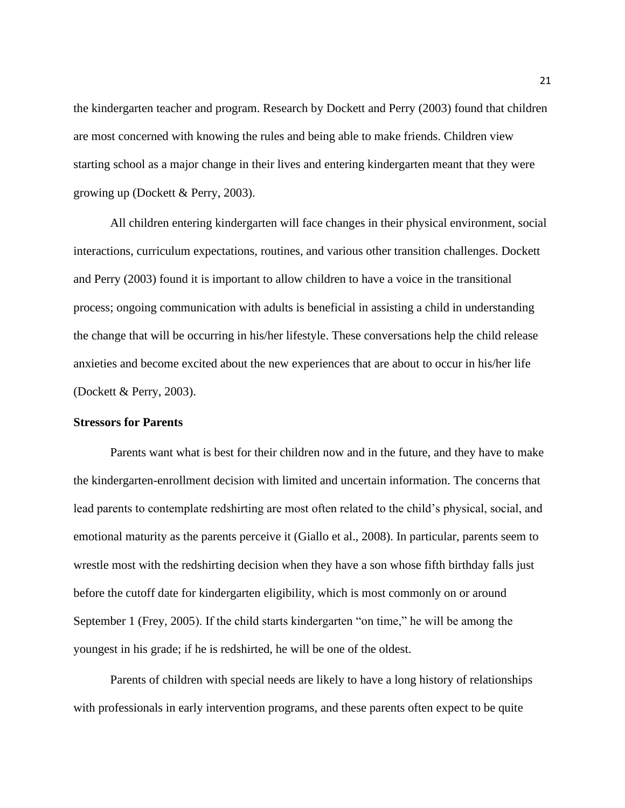the kindergarten teacher and program. Research by Dockett and Perry (2003) found that children are most concerned with knowing the rules and being able to make friends. Children view starting school as a major change in their lives and entering kindergarten meant that they were growing up (Dockett & Perry, 2003).

All children entering kindergarten will face changes in their physical environment, social interactions, curriculum expectations, routines, and various other transition challenges. Dockett and Perry (2003) found it is important to allow children to have a voice in the transitional process; ongoing communication with adults is beneficial in assisting a child in understanding the change that will be occurring in his/her lifestyle. These conversations help the child release anxieties and become excited about the new experiences that are about to occur in his/her life (Dockett & Perry, 2003).

### **Stressors for Parents**

Parents want what is best for their children now and in the future, and they have to make the kindergarten-enrollment decision with limited and uncertain information. The concerns that lead parents to contemplate redshirting are most often related to the child's physical, social, and emotional maturity as the parents perceive it (Giallo et al., 2008). In particular, parents seem to wrestle most with the redshirting decision when they have a son whose fifth birthday falls just before the cutoff date for kindergarten eligibility, which is most commonly on or around September 1 (Frey, 2005). If the child starts kindergarten "on time," he will be among the youngest in his grade; if he is redshirted, he will be one of the oldest.

Parents of children with special needs are likely to have a long history of relationships with professionals in early intervention programs, and these parents often expect to be quite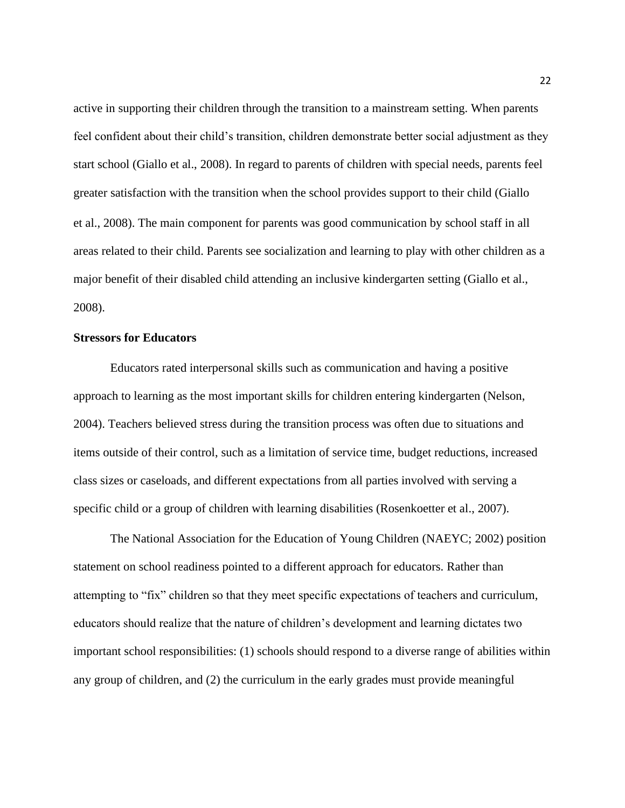active in supporting their children through the transition to a mainstream setting. When parents feel confident about their child's transition, children demonstrate better social adjustment as they start school (Giallo et al., 2008). In regard to parents of children with special needs, parents feel greater satisfaction with the transition when the school provides support to their child (Giallo et al., 2008). The main component for parents was good communication by school staff in all areas related to their child. Parents see socialization and learning to play with other children as a major benefit of their disabled child attending an inclusive kindergarten setting (Giallo et al., 2008).

### **Stressors for Educators**

Educators rated interpersonal skills such as communication and having a positive approach to learning as the most important skills for children entering kindergarten (Nelson, 2004). Teachers believed stress during the transition process was often due to situations and items outside of their control, such as a limitation of service time, budget reductions, increased class sizes or caseloads, and different expectations from all parties involved with serving a specific child or a group of children with learning disabilities (Rosenkoetter et al., 2007).

The National Association for the Education of Young Children (NAEYC; 2002) position statement on school readiness pointed to a different approach for educators. Rather than attempting to "fix" children so that they meet specific expectations of teachers and curriculum, educators should realize that the nature of children's development and learning dictates two important school responsibilities: (1) schools should respond to a diverse range of abilities within any group of children, and (2) the curriculum in the early grades must provide meaningful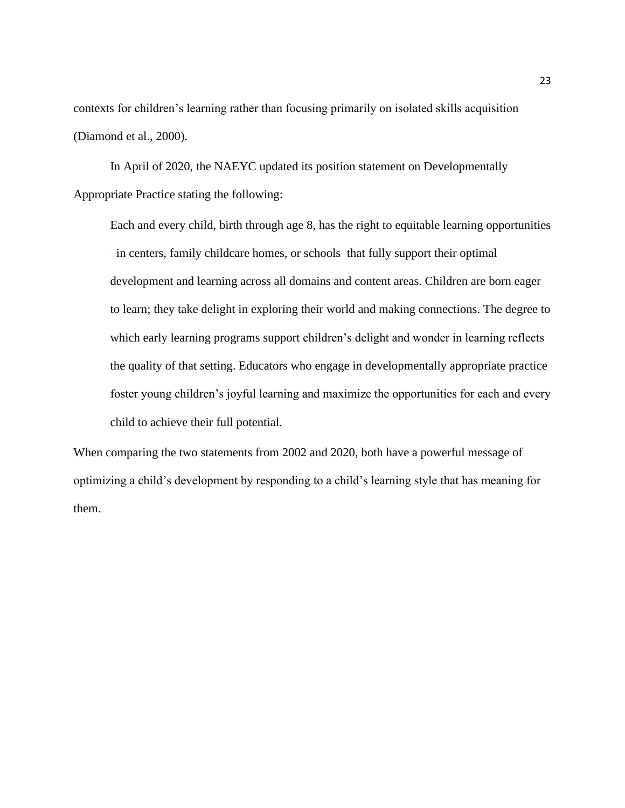contexts for children's learning rather than focusing primarily on isolated skills acquisition (Diamond et al., 2000).

In April of 2020, the NAEYC updated its position statement on Developmentally Appropriate Practice stating the following:

Each and every child, birth through age 8, has the right to equitable learning opportunities –in centers, family childcare homes, or schools–that fully support their optimal development and learning across all domains and content areas. Children are born eager to learn; they take delight in exploring their world and making connections. The degree to which early learning programs support children's delight and wonder in learning reflects the quality of that setting. Educators who engage in developmentally appropriate practice foster young children's joyful learning and maximize the opportunities for each and every child to achieve their full potential.

When comparing the two statements from 2002 and 2020, both have a powerful message of optimizing a child's development by responding to a child's learning style that has meaning for them.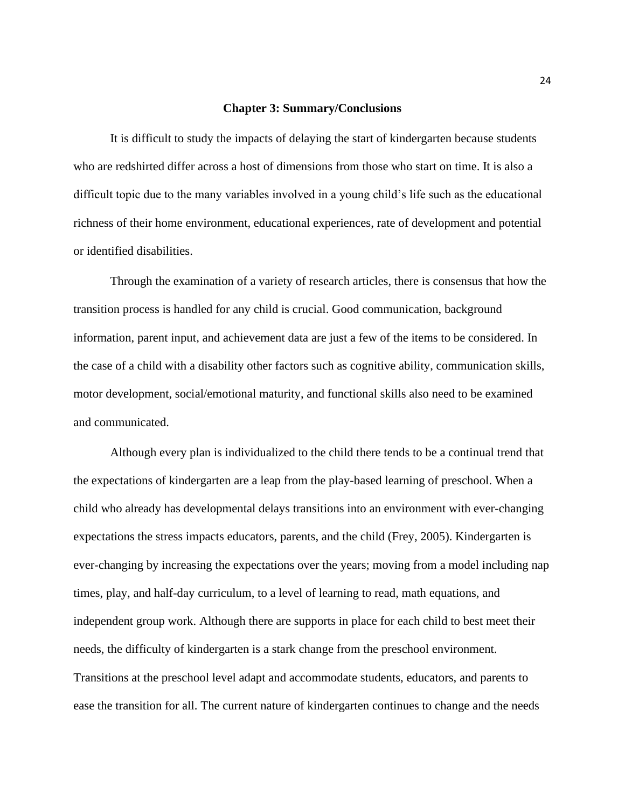### **Chapter 3: Summary/Conclusions**

It is difficult to study the impacts of delaying the start of kindergarten because students who are redshirted differ across a host of dimensions from those who start on time. It is also a difficult topic due to the many variables involved in a young child's life such as the educational richness of their home environment, educational experiences, rate of development and potential or identified disabilities.

Through the examination of a variety of research articles, there is consensus that how the transition process is handled for any child is crucial. Good communication, background information, parent input, and achievement data are just a few of the items to be considered. In the case of a child with a disability other factors such as cognitive ability, communication skills, motor development, social/emotional maturity, and functional skills also need to be examined and communicated.

Although every plan is individualized to the child there tends to be a continual trend that the expectations of kindergarten are a leap from the play-based learning of preschool. When a child who already has developmental delays transitions into an environment with ever-changing expectations the stress impacts educators, parents, and the child (Frey, 2005). Kindergarten is ever-changing by increasing the expectations over the years; moving from a model including nap times, play, and half-day curriculum, to a level of learning to read, math equations, and independent group work. Although there are supports in place for each child to best meet their needs, the difficulty of kindergarten is a stark change from the preschool environment. Transitions at the preschool level adapt and accommodate students, educators, and parents to ease the transition for all. The current nature of kindergarten continues to change and the needs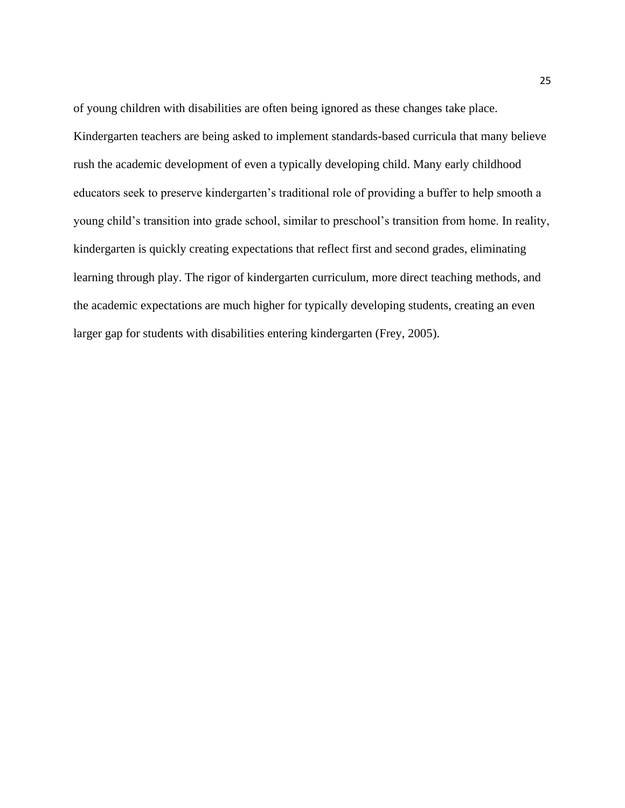of young children with disabilities are often being ignored as these changes take place. Kindergarten teachers are being asked to implement standards-based curricula that many believe rush the academic development of even a typically developing child. Many early childhood educators seek to preserve kindergarten's traditional role of providing a buffer to help smooth a young child's transition into grade school, similar to preschool's transition from home. In reality, kindergarten is quickly creating expectations that reflect first and second grades, eliminating learning through play. The rigor of kindergarten curriculum, more direct teaching methods, and the academic expectations are much higher for typically developing students, creating an even larger gap for students with disabilities entering kindergarten (Frey, 2005).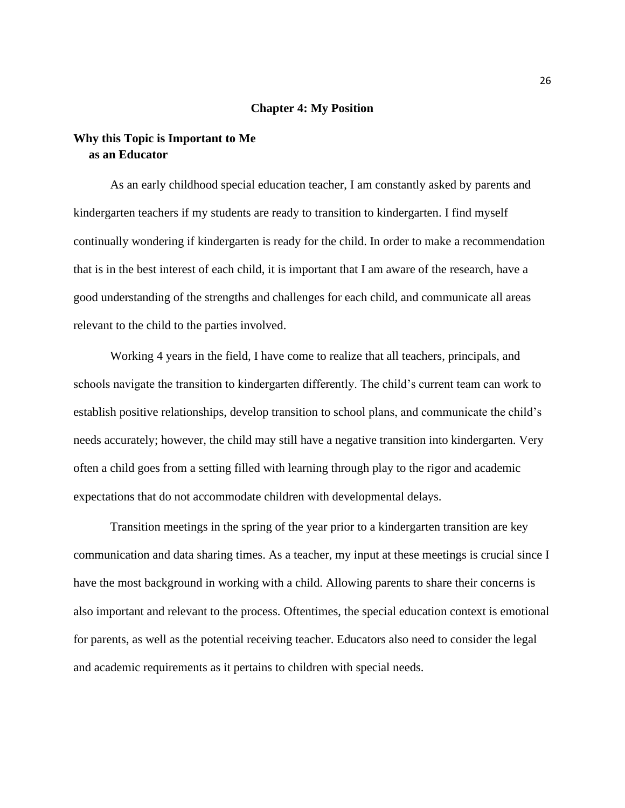### **Chapter 4: My Position**

# **Why this Topic is Important to Me as an Educator**

As an early childhood special education teacher, I am constantly asked by parents and kindergarten teachers if my students are ready to transition to kindergarten. I find myself continually wondering if kindergarten is ready for the child. In order to make a recommendation that is in the best interest of each child, it is important that I am aware of the research, have a good understanding of the strengths and challenges for each child, and communicate all areas relevant to the child to the parties involved.

Working 4 years in the field, I have come to realize that all teachers, principals, and schools navigate the transition to kindergarten differently. The child's current team can work to establish positive relationships, develop transition to school plans, and communicate the child's needs accurately; however, the child may still have a negative transition into kindergarten. Very often a child goes from a setting filled with learning through play to the rigor and academic expectations that do not accommodate children with developmental delays.

Transition meetings in the spring of the year prior to a kindergarten transition are key communication and data sharing times. As a teacher, my input at these meetings is crucial since I have the most background in working with a child. Allowing parents to share their concerns is also important and relevant to the process. Oftentimes, the special education context is emotional for parents, as well as the potential receiving teacher. Educators also need to consider the legal and academic requirements as it pertains to children with special needs.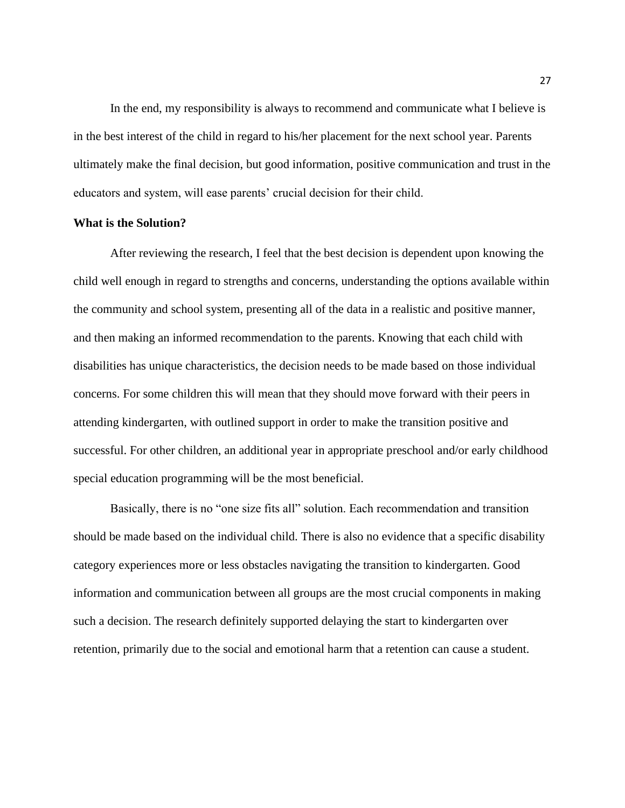In the end, my responsibility is always to recommend and communicate what I believe is in the best interest of the child in regard to his/her placement for the next school year. Parents ultimately make the final decision, but good information, positive communication and trust in the educators and system, will ease parents' crucial decision for their child.

### **What is the Solution?**

After reviewing the research, I feel that the best decision is dependent upon knowing the child well enough in regard to strengths and concerns, understanding the options available within the community and school system, presenting all of the data in a realistic and positive manner, and then making an informed recommendation to the parents. Knowing that each child with disabilities has unique characteristics, the decision needs to be made based on those individual concerns. For some children this will mean that they should move forward with their peers in attending kindergarten, with outlined support in order to make the transition positive and successful. For other children, an additional year in appropriate preschool and/or early childhood special education programming will be the most beneficial.

Basically, there is no "one size fits all" solution. Each recommendation and transition should be made based on the individual child. There is also no evidence that a specific disability category experiences more or less obstacles navigating the transition to kindergarten. Good information and communication between all groups are the most crucial components in making such a decision. The research definitely supported delaying the start to kindergarten over retention, primarily due to the social and emotional harm that a retention can cause a student.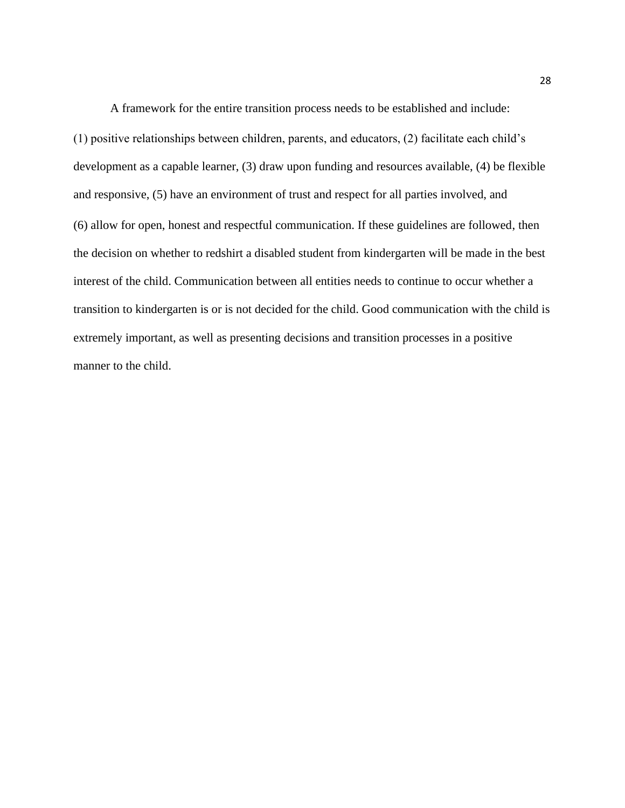A framework for the entire transition process needs to be established and include: (1) positive relationships between children, parents, and educators, (2) facilitate each child's development as a capable learner, (3) draw upon funding and resources available, (4) be flexible and responsive, (5) have an environment of trust and respect for all parties involved, and (6) allow for open, honest and respectful communication. If these guidelines are followed, then the decision on whether to redshirt a disabled student from kindergarten will be made in the best interest of the child. Communication between all entities needs to continue to occur whether a transition to kindergarten is or is not decided for the child. Good communication with the child is extremely important, as well as presenting decisions and transition processes in a positive manner to the child.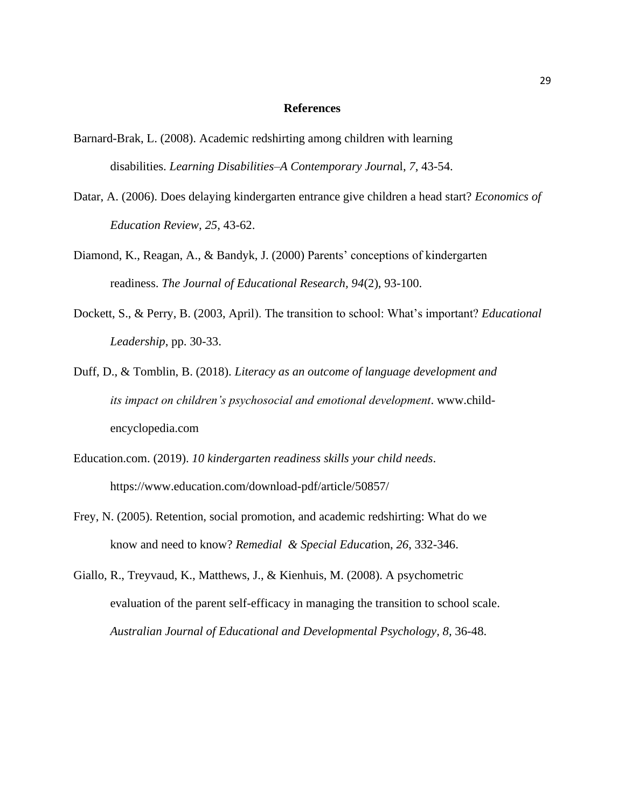### **References**

- Barnard-Brak, L. (2008). Academic redshirting among children with learning disabilities. *Learning Disabilities–A Contemporary Journa*l, *7*, 43-54.
- Datar, A. (2006). Does delaying kindergarten entrance give children a head start? *Economics of Education Review, 25*, 43-62.
- Diamond, K., Reagan, A., & Bandyk, J. (2000) Parents' conceptions of kindergarten readiness. *The Journal of Educational Research, 94*(2), 93-100.
- Dockett, S., & Perry, B. (2003, April). The transition to school: What's important? *Educational Leadership*, pp. 30-33.
- Duff, D., & Tomblin, B. (2018). *Literacy as an outcome of language development and its impact on children's psychosocial and emotional development*. [www.child](http://www.child-encyclopedia.com/)[encyclopedia.com](http://www.child-encyclopedia.com/)
- Education.com. (2019). *10 kindergarten readiness skills your child needs*. <https://www.education.com/download-pdf/article/50857/>
- Frey, N. (2005). Retention, social promotion, and academic redshirting: What do we know and need to know? *Remedial & Special Educat*ion, *26*, 332-346.
- Giallo, R., Treyvaud, K., Matthews, J., & Kienhuis, M. (2008). A psychometric evaluation of the parent self-efficacy in managing the transition to school scale. *Australian Journal of Educational and Developmental Psychology, 8,* 36-48.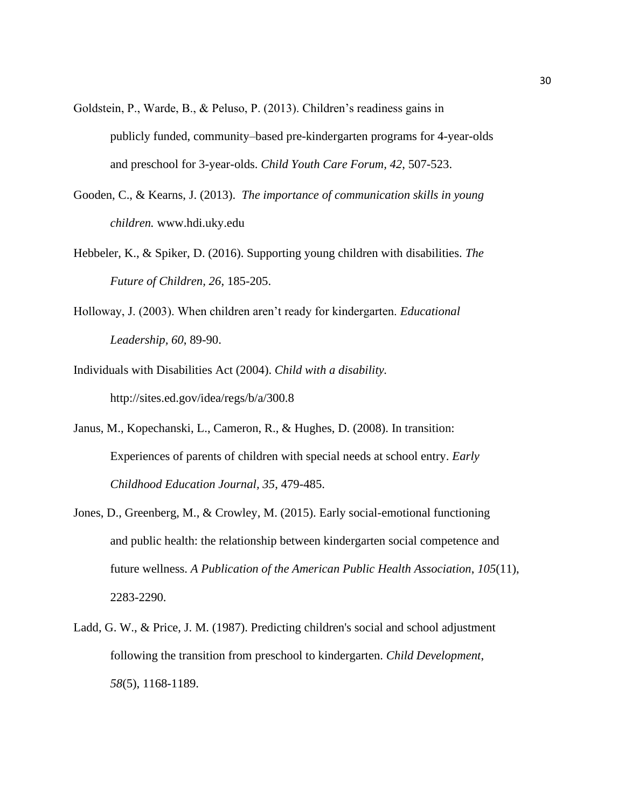- Goldstein, P., Warde, B., & Peluso, P. (2013). Children's readiness gains in publicly funded, community–based pre-kindergarten programs for 4-year-olds and preschool for 3-year-olds. *Child Youth Care Forum, 42*, 507-523.
- Gooden, C., & Kearns, J. (2013). *The importance of communication skills in young children.* www.hdi.uky.edu
- Hebbeler, K., & Spiker, D. (2016). Supporting young children with disabilities. *The Future of Children, 26*, 185-205.
- Holloway, J. (2003). When children aren't ready for kindergarten. *Educational Leadership, 60*, 89-90.
- Individuals with Disabilities Act (2004). *Child with a disability.* http://sites.ed.gov/idea/regs/b/a/300.8
- Janus, M., Kopechanski, L., Cameron, R., & Hughes, D. (2008). In transition: Experiences of parents of children with special needs at school entry. *Early Childhood Education Journal, 35*, 479-485.
- Jones, D., Greenberg, M., & Crowley, M. (2015). Early social-emotional functioning and public health: the relationship between kindergarten social competence and future wellness. *A Publication of the American Public Health Association*, *105*(11), 2283-2290.
- Ladd, G. W., & Price, J. M. (1987). Predicting children's social and school adjustment following the transition from preschool to kindergarten. *Child Development*, *58*(5), 1168-1189.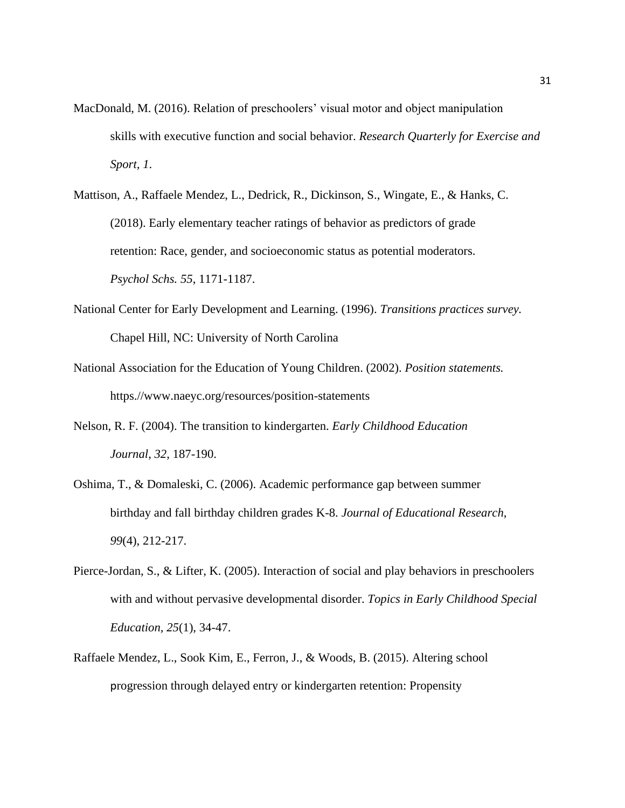- MacDonald, M. (2016). Relation of preschoolers' visual motor and object manipulation skills with executive function and social behavior. *Research Quarterly for Exercise and Sport, 1*.
- Mattison, A., Raffaele Mendez, L., Dedrick, R., Dickinson, S., Wingate, E., & Hanks, C. (2018). Early elementary teacher ratings of behavior as predictors of grade retention: Race, gender, and socioeconomic status as potential moderators. *Psychol Schs. 55*, 1171-1187.
- National Center for Early Development and Learning. (1996). *Transitions practices survey.* Chapel Hill, NC: University of North Carolina
- National Association for the Education of Young Children. (2002). *Position statements.* https.//www.naeyc.org/resources/position-statements
- Nelson, R. F. (2004). The transition to kindergarten. *Early Childhood Education Journal*, *32*, 187-190.
- Oshima, T., & Domaleski, C. (2006). Academic performance gap between summer birthday and fall birthday children grades K-8. *Journal of Educational Research*, *99*(4), 212-217.
- Pierce-Jordan, S., & Lifter, K. (2005). Interaction of social and play behaviors in preschoolers with and without pervasive developmental disorder. *Topics in Early Childhood Special Education, 25*(1), 34-47.
- Raffaele Mendez, L., Sook Kim, E., Ferron, J., & Woods, B. (2015). Altering school progression through delayed entry or kindergarten retention: Propensity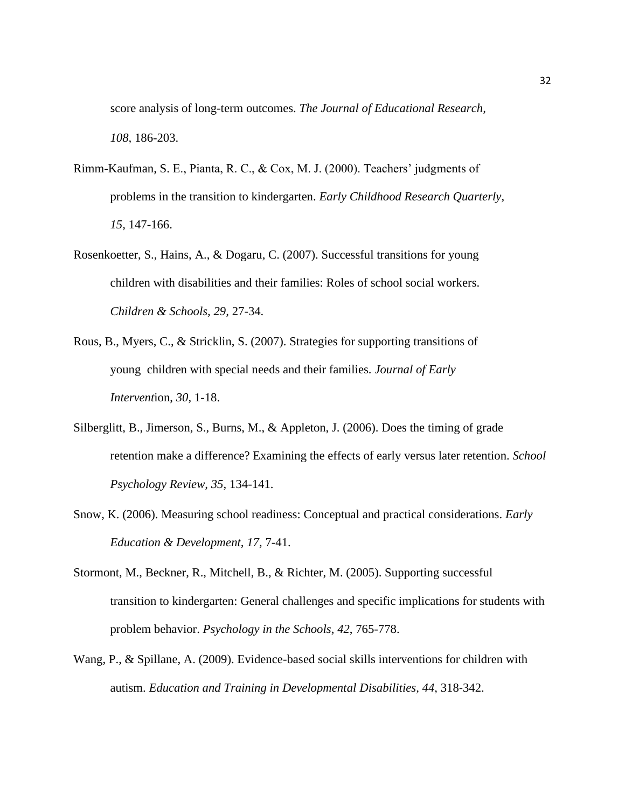score analysis of long-term outcomes. *The Journal of Educational Research, 108,* 186-203.

- Rimm-Kaufman, S. E., Pianta, R. C., & Cox, M. J. (2000). Teachers' judgments of problems in the transition to kindergarten. *Early Childhood Research Quarterly, 15,* 147-166.
- Rosenkoetter, S., Hains, A., & Dogaru, C. (2007). Successful transitions for young children with disabilities and their families: Roles of school social workers. *Children & Schools, 29,* 27-34.
- Rous, B., Myers, C., & Stricklin, S. (2007). Strategies for supporting transitions of young children with special needs and their families. *Journal of Early Intervent*ion, *30*, 1-18.
- Silberglitt, B., Jimerson, S., Burns, M., & Appleton, J. (2006). Does the timing of grade retention make a difference? Examining the effects of early versus later retention. *School Psychology Review, 35*, 134-141.
- Snow, K. (2006). Measuring school readiness: Conceptual and practical considerations. *Early Education & Development, 17,* 7-41.
- Stormont, M., Beckner, R., Mitchell, B., & Richter, M. (2005). Supporting successful transition to kindergarten: General challenges and specific implications for students with problem behavior. *Psychology in the Schools*, *42*, 765-778.
- Wang, P., & Spillane, A. (2009). Evidence-based social skills interventions for children with autism. *Education and Training in Developmental Disabilities, 44*, 318-342.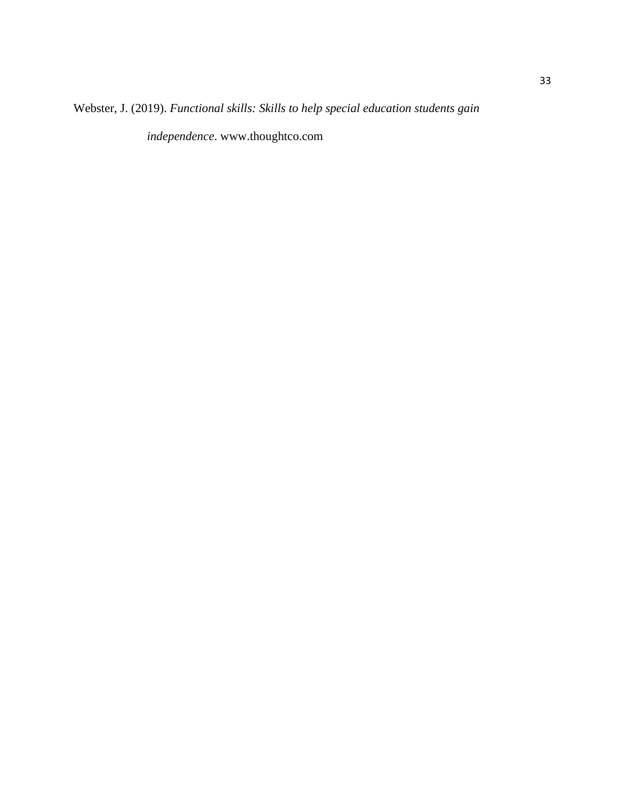Webster, J. (2019). *Functional skills: Skills to help special education students gain*

*independence*. [www.thoughtco.com](http://www.thoughtco.com/)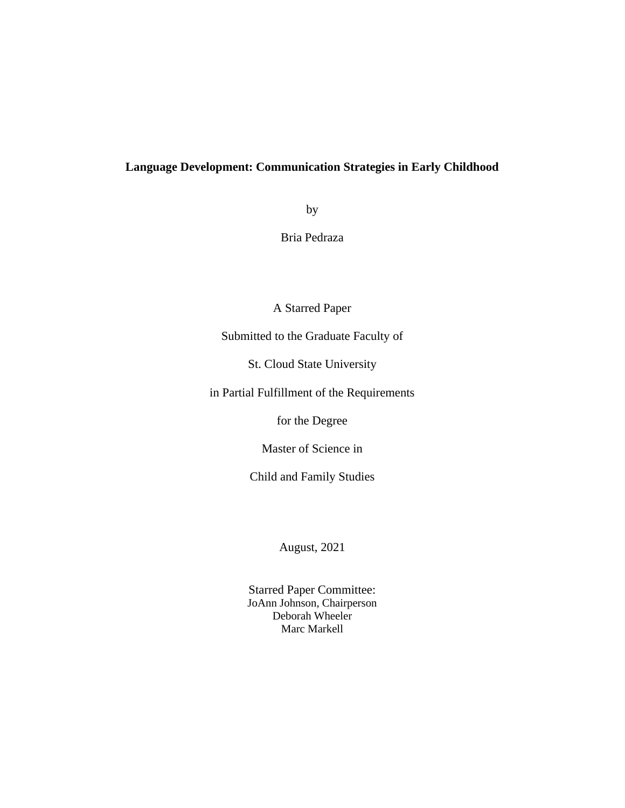# **Language Development: Communication Strategies in Early Childhood**

by

Bria Pedraza

A Starred Paper

Submitted to the Graduate Faculty of

St. Cloud State University

in Partial Fulfillment of the Requirements

for the Degree

Master of Science in

Child and Family Studies

August, 2021

Starred Paper Committee: JoAnn Johnson, Chairperson Deborah Wheeler Marc Markell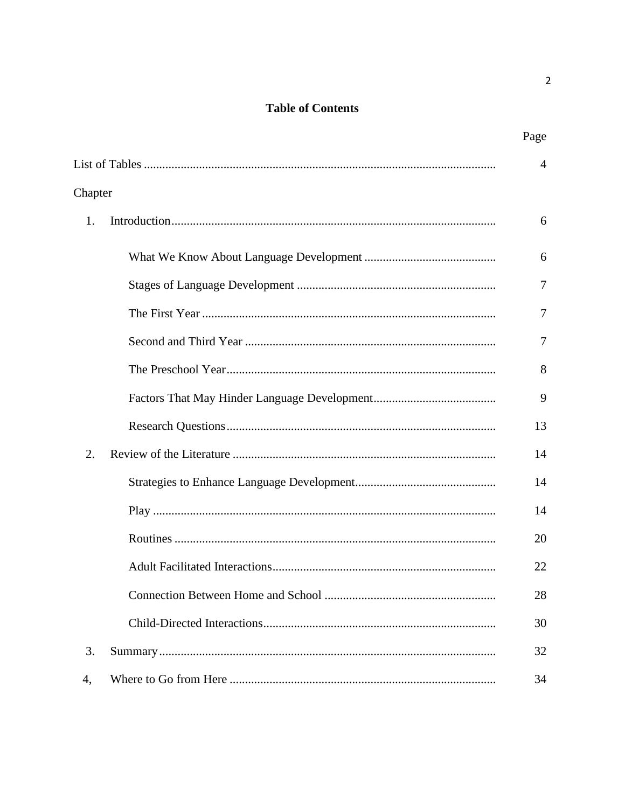# **Table of Contents**

|         | Page           |
|---------|----------------|
|         | $\overline{4}$ |
| Chapter |                |
| 1.      | 6              |
|         | 6              |
|         | 7              |
|         | 7              |
|         | 7              |
|         | 8              |
|         | 9              |
|         | 13             |
| 2.      | 14             |
|         | 14             |
|         | 14             |
|         | 20             |
|         | 22             |
|         | 28             |
|         | 30             |
| 3.      | 32             |
| 4,      | 34             |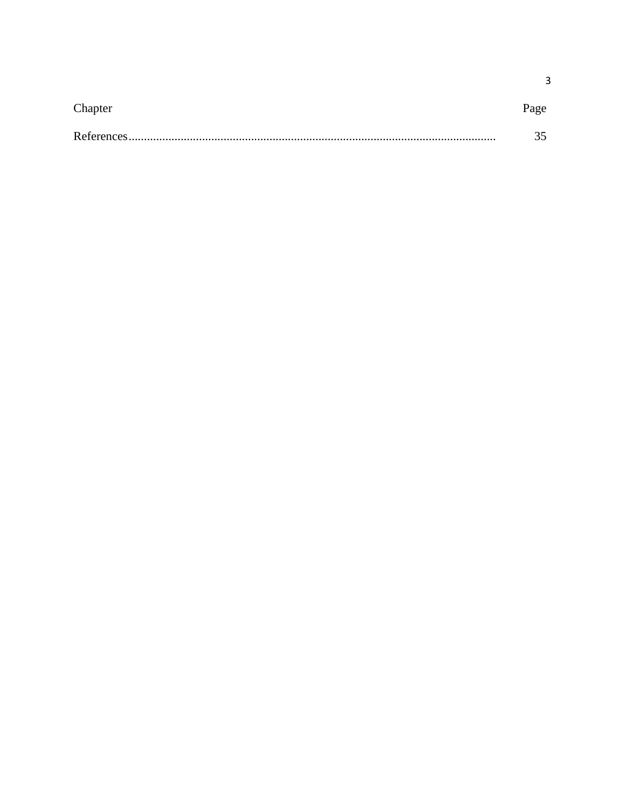| Chapter | Page |
|---------|------|
|         |      |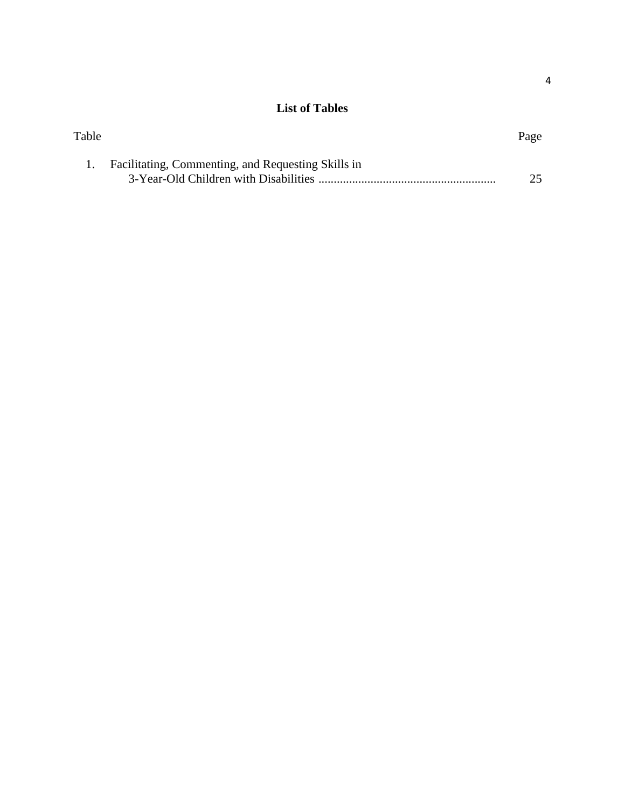# **List of Tables**

| Table |                                                    | Page |
|-------|----------------------------------------------------|------|
|       | Facilitating, Commenting, and Requesting Skills in |      |
|       |                                                    | 25   |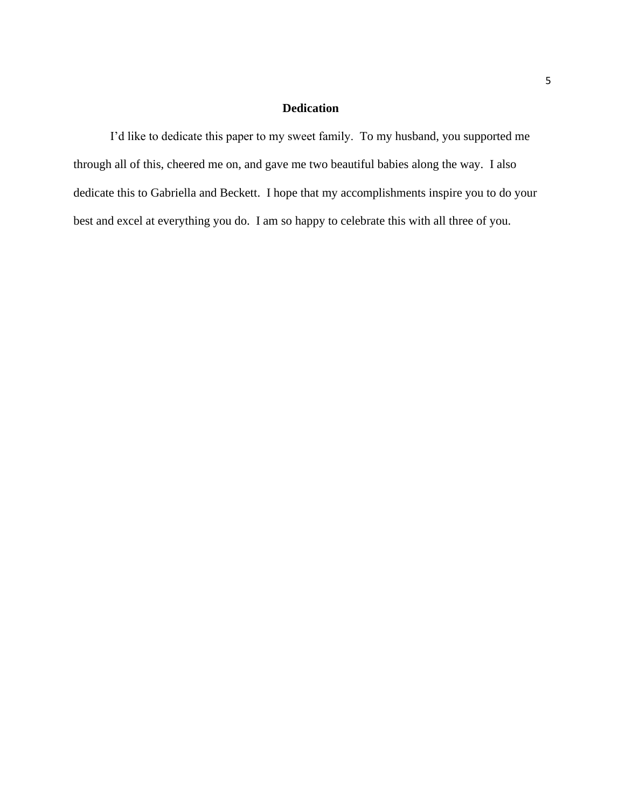# **Dedication**

I'd like to dedicate this paper to my sweet family. To my husband, you supported me through all of this, cheered me on, and gave me two beautiful babies along the way. I also dedicate this to Gabriella and Beckett. I hope that my accomplishments inspire you to do your best and excel at everything you do. I am so happy to celebrate this with all three of you.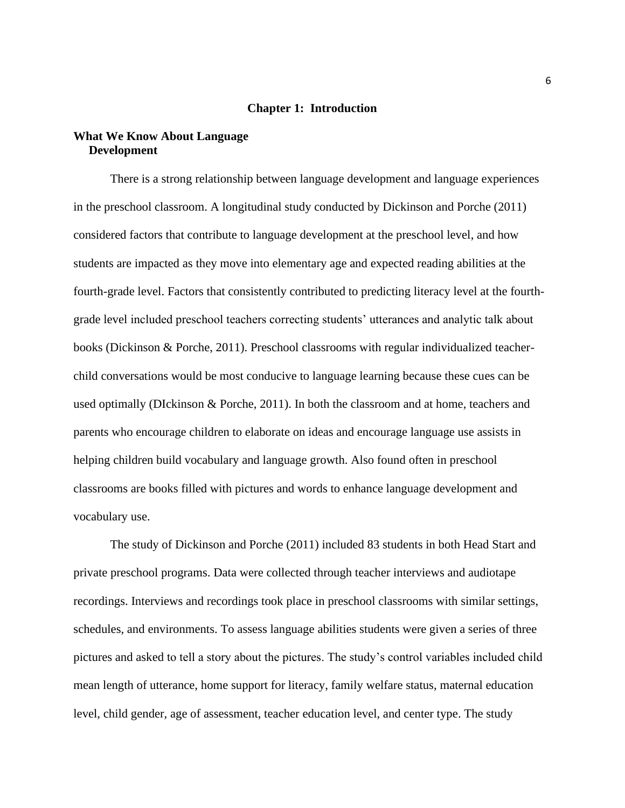### **Chapter 1: Introduction**

### **What We Know About Language Development**

There is a strong relationship between language development and language experiences in the preschool classroom. A longitudinal study conducted by Dickinson and Porche (2011) considered factors that contribute to language development at the preschool level, and how students are impacted as they move into elementary age and expected reading abilities at the fourth-grade level. Factors that consistently contributed to predicting literacy level at the fourthgrade level included preschool teachers correcting students' utterances and analytic talk about books (Dickinson & Porche, 2011). Preschool classrooms with regular individualized teacherchild conversations would be most conducive to language learning because these cues can be used optimally (DIckinson & Porche, 2011). In both the classroom and at home, teachers and parents who encourage children to elaborate on ideas and encourage language use assists in helping children build vocabulary and language growth. Also found often in preschool classrooms are books filled with pictures and words to enhance language development and vocabulary use.

The study of Dickinson and Porche (2011) included 83 students in both Head Start and private preschool programs. Data were collected through teacher interviews and audiotape recordings. Interviews and recordings took place in preschool classrooms with similar settings, schedules, and environments. To assess language abilities students were given a series of three pictures and asked to tell a story about the pictures. The study's control variables included child mean length of utterance, home support for literacy, family welfare status, maternal education level, child gender, age of assessment, teacher education level, and center type. The study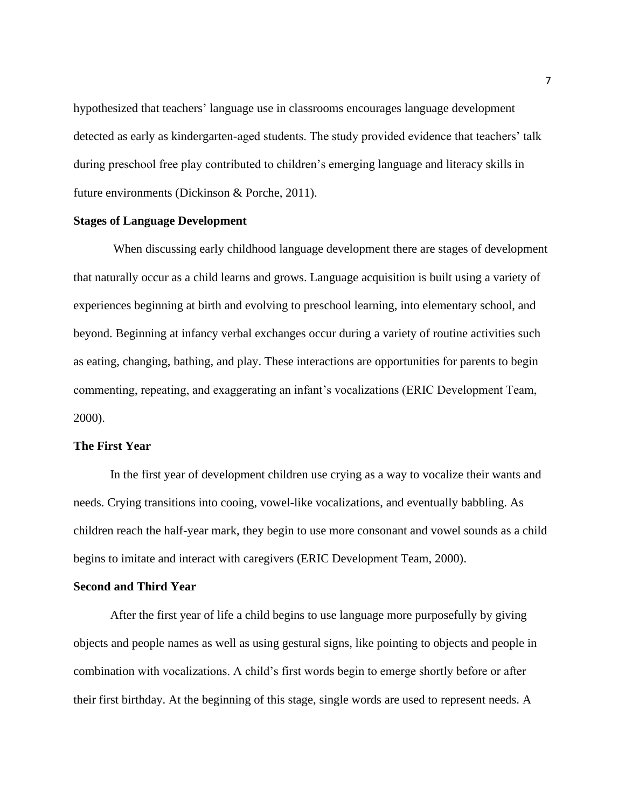hypothesized that teachers' language use in classrooms encourages language development detected as early as kindergarten-aged students. The study provided evidence that teachers' talk during preschool free play contributed to children's emerging language and literacy skills in future environments (Dickinson & Porche, 2011).

### **Stages of Language Development**

When discussing early childhood language development there are stages of development that naturally occur as a child learns and grows. Language acquisition is built using a variety of experiences beginning at birth and evolving to preschool learning, into elementary school, and beyond. Beginning at infancy verbal exchanges occur during a variety of routine activities such as eating, changing, bathing, and play. These interactions are opportunities for parents to begin commenting, repeating, and exaggerating an infant's vocalizations (ERIC Development Team, 2000).

### **The First Year**

In the first year of development children use crying as a way to vocalize their wants and needs. Crying transitions into cooing, vowel-like vocalizations, and eventually babbling. As children reach the half-year mark, they begin to use more consonant and vowel sounds as a child begins to imitate and interact with caregivers (ERIC Development Team, 2000).

### **Second and Third Year**

After the first year of life a child begins to use language more purposefully by giving objects and people names as well as using gestural signs, like pointing to objects and people in combination with vocalizations. A child's first words begin to emerge shortly before or after their first birthday. At the beginning of this stage, single words are used to represent needs. A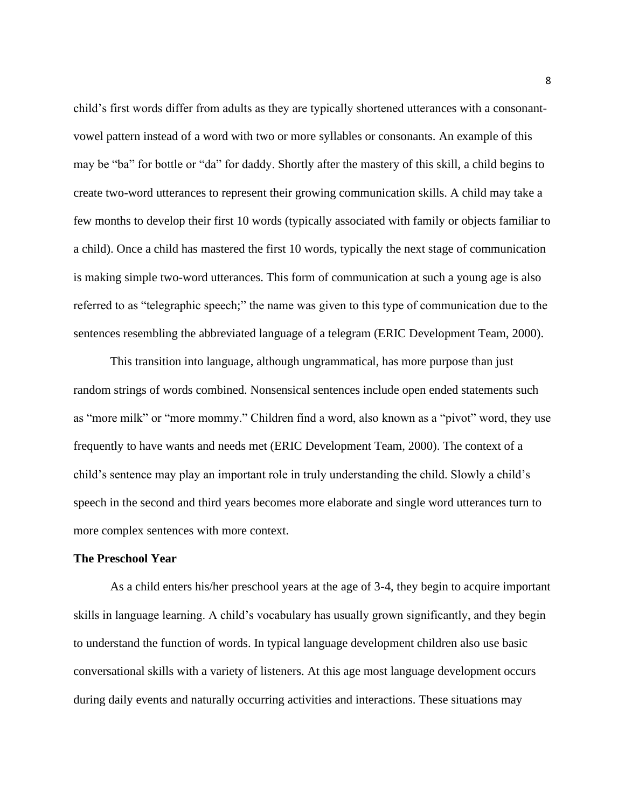child's first words differ from adults as they are typically shortened utterances with a consonantvowel pattern instead of a word with two or more syllables or consonants. An example of this may be "ba" for bottle or "da" for daddy. Shortly after the mastery of this skill, a child begins to create two-word utterances to represent their growing communication skills. A child may take a few months to develop their first 10 words (typically associated with family or objects familiar to a child). Once a child has mastered the first 10 words, typically the next stage of communication is making simple two-word utterances. This form of communication at such a young age is also referred to as "telegraphic speech;" the name was given to this type of communication due to the sentences resembling the abbreviated language of a telegram (ERIC Development Team, 2000).

This transition into language, although ungrammatical, has more purpose than just random strings of words combined. Nonsensical sentences include open ended statements such as "more milk" or "more mommy." Children find a word, also known as a "pivot" word, they use frequently to have wants and needs met (ERIC Development Team, 2000). The context of a child's sentence may play an important role in truly understanding the child. Slowly a child's speech in the second and third years becomes more elaborate and single word utterances turn to more complex sentences with more context.

### **The Preschool Year**

As a child enters his/her preschool years at the age of 3-4, they begin to acquire important skills in language learning. A child's vocabulary has usually grown significantly, and they begin to understand the function of words. In typical language development children also use basic conversational skills with a variety of listeners. At this age most language development occurs during daily events and naturally occurring activities and interactions. These situations may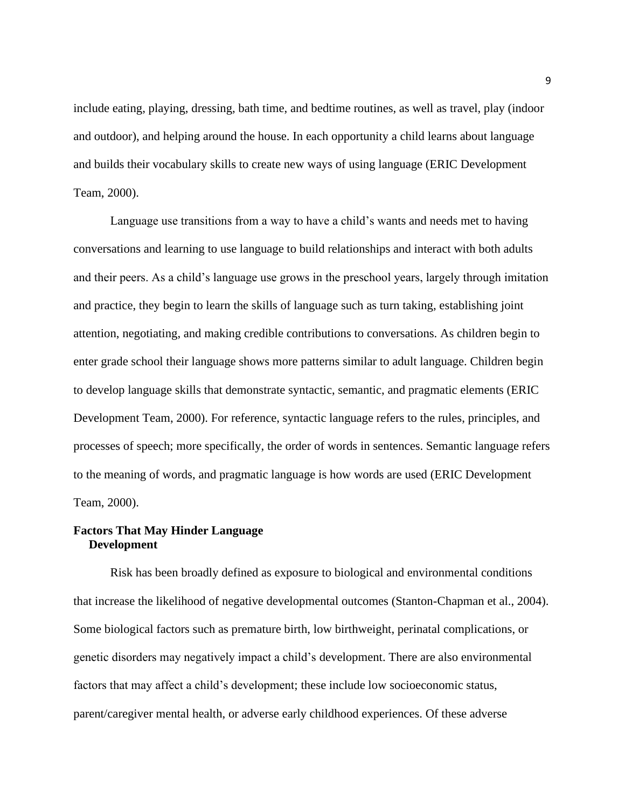include eating, playing, dressing, bath time, and bedtime routines, as well as travel, play (indoor and outdoor), and helping around the house. In each opportunity a child learns about language and builds their vocabulary skills to create new ways of using language (ERIC Development Team, 2000).

Language use transitions from a way to have a child's wants and needs met to having conversations and learning to use language to build relationships and interact with both adults and their peers. As a child's language use grows in the preschool years, largely through imitation and practice, they begin to learn the skills of language such as turn taking, establishing joint attention, negotiating, and making credible contributions to conversations. As children begin to enter grade school their language shows more patterns similar to adult language. Children begin to develop language skills that demonstrate syntactic, semantic, and pragmatic elements (ERIC Development Team, 2000). For reference, syntactic language refers to the rules, principles, and processes of speech; more specifically, the order of words in sentences. Semantic language refers to the meaning of words, and pragmatic language is how words are used (ERIC Development Team, 2000).

# **Factors That May Hinder Language Development**

Risk has been broadly defined as exposure to biological and environmental conditions that increase the likelihood of negative developmental outcomes (Stanton-Chapman et al., 2004). Some biological factors such as premature birth, low birthweight, perinatal complications, or genetic disorders may negatively impact a child's development. There are also environmental factors that may affect a child's development; these include low socioeconomic status, parent/caregiver mental health, or adverse early childhood experiences. Of these adverse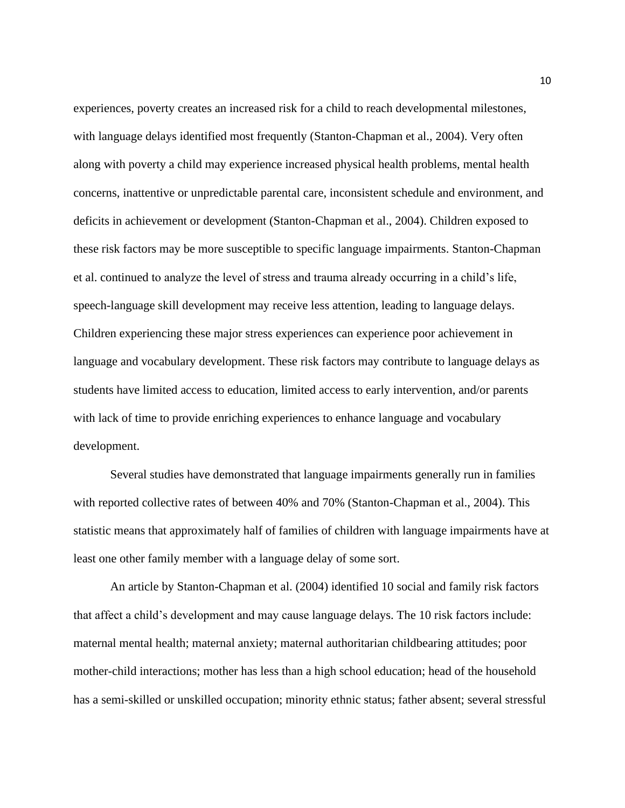experiences, poverty creates an increased risk for a child to reach developmental milestones, with language delays identified most frequently (Stanton-Chapman et al., 2004). Very often along with poverty a child may experience increased physical health problems, mental health concerns, inattentive or unpredictable parental care, inconsistent schedule and environment, and deficits in achievement or development (Stanton-Chapman et al., 2004). Children exposed to these risk factors may be more susceptible to specific language impairments. Stanton-Chapman et al. continued to analyze the level of stress and trauma already occurring in a child's life, speech-language skill development may receive less attention, leading to language delays. Children experiencing these major stress experiences can experience poor achievement in language and vocabulary development. These risk factors may contribute to language delays as students have limited access to education, limited access to early intervention, and/or parents with lack of time to provide enriching experiences to enhance language and vocabulary development.

Several studies have demonstrated that language impairments generally run in families with reported collective rates of between 40% and 70% (Stanton-Chapman et al., 2004). This statistic means that approximately half of families of children with language impairments have at least one other family member with a language delay of some sort.

An article by Stanton-Chapman et al. (2004) identified 10 social and family risk factors that affect a child's development and may cause language delays. The 10 risk factors include: maternal mental health; maternal anxiety; maternal authoritarian childbearing attitudes; poor mother-child interactions; mother has less than a high school education; head of the household has a semi-skilled or unskilled occupation; minority ethnic status; father absent; several stressful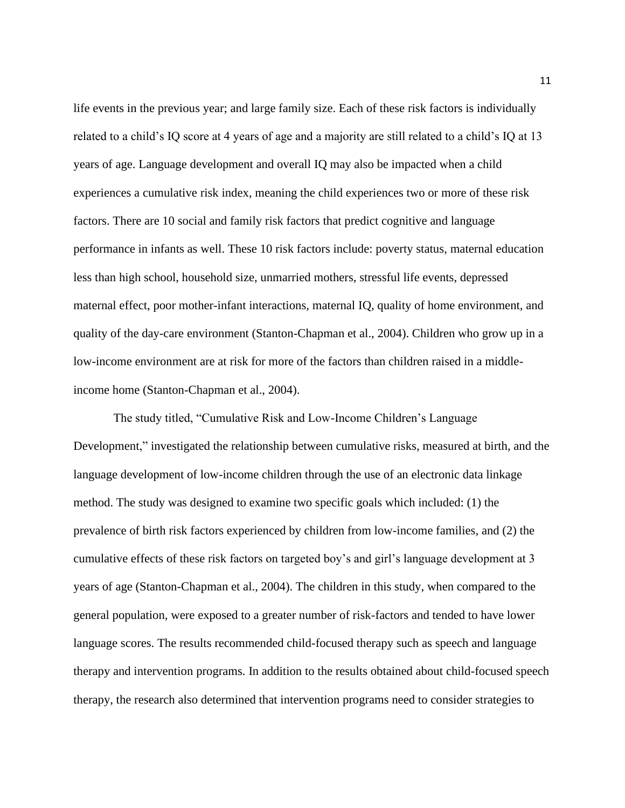life events in the previous year; and large family size. Each of these risk factors is individually related to a child's IQ score at 4 years of age and a majority are still related to a child's IQ at 13 years of age. Language development and overall IQ may also be impacted when a child experiences a cumulative risk index, meaning the child experiences two or more of these risk factors. There are 10 social and family risk factors that predict cognitive and language performance in infants as well. These 10 risk factors include: poverty status, maternal education less than high school, household size, unmarried mothers, stressful life events, depressed maternal effect, poor mother-infant interactions, maternal IQ, quality of home environment, and quality of the day-care environment (Stanton-Chapman et al., 2004). Children who grow up in a low-income environment are at risk for more of the factors than children raised in a middleincome home (Stanton-Chapman et al., 2004).

The study titled, "Cumulative Risk and Low-Income Children's Language Development," investigated the relationship between cumulative risks, measured at birth, and the language development of low-income children through the use of an electronic data linkage method. The study was designed to examine two specific goals which included: (1) the prevalence of birth risk factors experienced by children from low-income families, and (2) the cumulative effects of these risk factors on targeted boy's and girl's language development at 3 years of age (Stanton-Chapman et al., 2004). The children in this study, when compared to the general population, were exposed to a greater number of risk-factors and tended to have lower language scores. The results recommended child-focused therapy such as speech and language therapy and intervention programs. In addition to the results obtained about child-focused speech therapy, the research also determined that intervention programs need to consider strategies to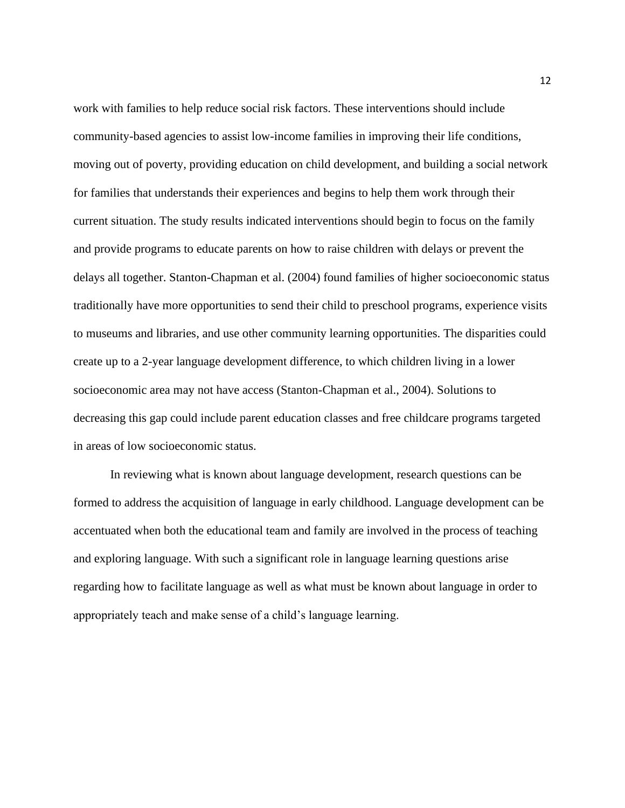work with families to help reduce social risk factors. These interventions should include community-based agencies to assist low-income families in improving their life conditions, moving out of poverty, providing education on child development, and building a social network for families that understands their experiences and begins to help them work through their current situation. The study results indicated interventions should begin to focus on the family and provide programs to educate parents on how to raise children with delays or prevent the delays all together. Stanton-Chapman et al. (2004) found families of higher socioeconomic status traditionally have more opportunities to send their child to preschool programs, experience visits to museums and libraries, and use other community learning opportunities. The disparities could create up to a 2-year language development difference, to which children living in a lower socioeconomic area may not have access (Stanton-Chapman et al., 2004). Solutions to decreasing this gap could include parent education classes and free childcare programs targeted in areas of low socioeconomic status.

In reviewing what is known about language development, research questions can be formed to address the acquisition of language in early childhood. Language development can be accentuated when both the educational team and family are involved in the process of teaching and exploring language. With such a significant role in language learning questions arise regarding how to facilitate language as well as what must be known about language in order to appropriately teach and make sense of a child's language learning.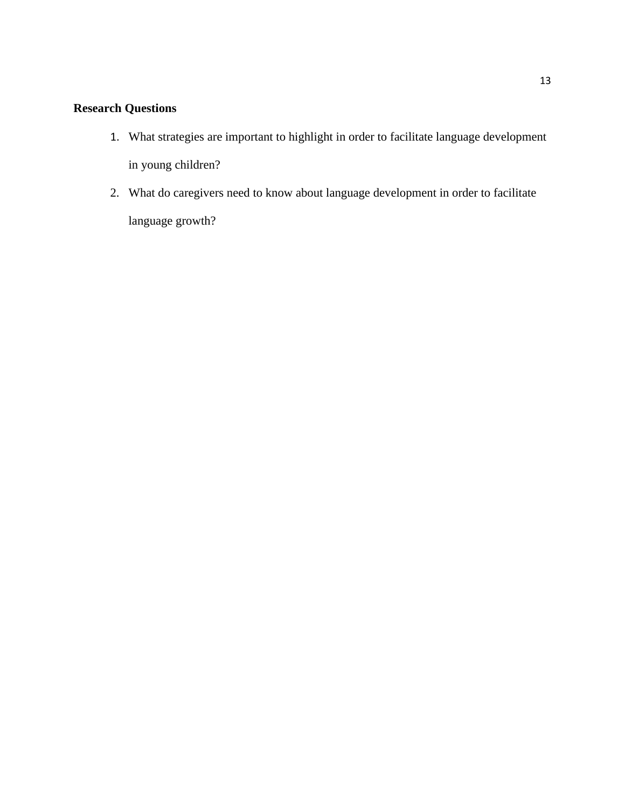# **Research Questions**

- 1. What strategies are important to highlight in order to facilitate language development in young children?
- 2. What do caregivers need to know about language development in order to facilitate language growth?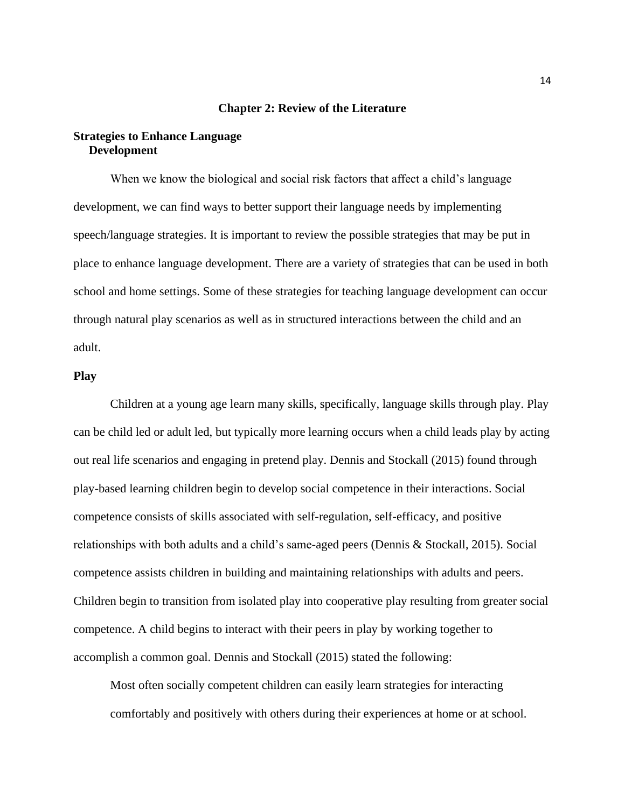### **Chapter 2: Review of the Literature**

# **Strategies to Enhance Language Development**

When we know the biological and social risk factors that affect a child's language development, we can find ways to better support their language needs by implementing speech/language strategies. It is important to review the possible strategies that may be put in place to enhance language development. There are a variety of strategies that can be used in both school and home settings. Some of these strategies for teaching language development can occur through natural play scenarios as well as in structured interactions between the child and an adult.

### **Play**

Children at a young age learn many skills, specifically, language skills through play. Play can be child led or adult led, but typically more learning occurs when a child leads play by acting out real life scenarios and engaging in pretend play. Dennis and Stockall (2015) found through play-based learning children begin to develop social competence in their interactions. Social competence consists of skills associated with self-regulation, self-efficacy, and positive relationships with both adults and a child's same-aged peers (Dennis & Stockall, 2015). Social competence assists children in building and maintaining relationships with adults and peers. Children begin to transition from isolated play into cooperative play resulting from greater social competence. A child begins to interact with their peers in play by working together to accomplish a common goal. Dennis and Stockall (2015) stated the following:

Most often socially competent children can easily learn strategies for interacting comfortably and positively with others during their experiences at home or at school.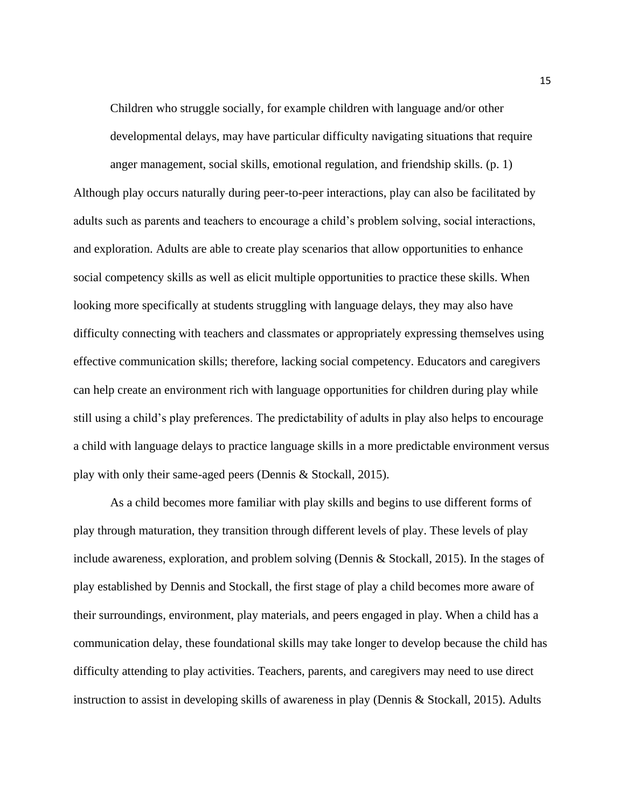Children who struggle socially, for example children with language and/or other developmental delays, may have particular difficulty navigating situations that require anger management, social skills, emotional regulation, and friendship skills. (p. 1)

Although play occurs naturally during peer-to-peer interactions, play can also be facilitated by adults such as parents and teachers to encourage a child's problem solving, social interactions, and exploration. Adults are able to create play scenarios that allow opportunities to enhance social competency skills as well as elicit multiple opportunities to practice these skills. When looking more specifically at students struggling with language delays, they may also have difficulty connecting with teachers and classmates or appropriately expressing themselves using effective communication skills; therefore, lacking social competency. Educators and caregivers can help create an environment rich with language opportunities for children during play while still using a child's play preferences. The predictability of adults in play also helps to encourage a child with language delays to practice language skills in a more predictable environment versus play with only their same-aged peers (Dennis & Stockall, 2015).

As a child becomes more familiar with play skills and begins to use different forms of play through maturation, they transition through different levels of play. These levels of play include awareness, exploration, and problem solving (Dennis & Stockall, 2015). In the stages of play established by Dennis and Stockall, the first stage of play a child becomes more aware of their surroundings, environment, play materials, and peers engaged in play. When a child has a communication delay, these foundational skills may take longer to develop because the child has difficulty attending to play activities. Teachers, parents, and caregivers may need to use direct instruction to assist in developing skills of awareness in play (Dennis & Stockall, 2015). Adults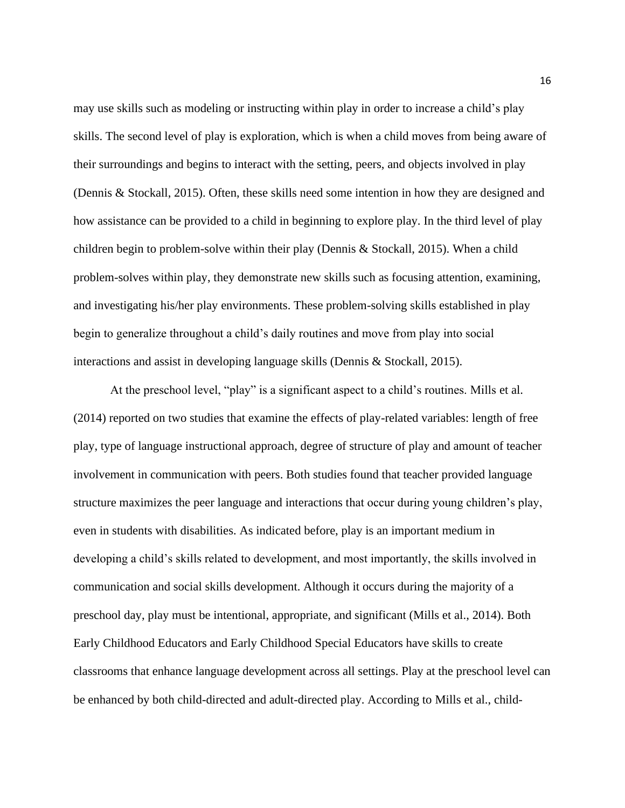may use skills such as modeling or instructing within play in order to increase a child's play skills. The second level of play is exploration, which is when a child moves from being aware of their surroundings and begins to interact with the setting, peers, and objects involved in play (Dennis & Stockall, 2015). Often, these skills need some intention in how they are designed and how assistance can be provided to a child in beginning to explore play. In the third level of play children begin to problem-solve within their play (Dennis & Stockall, 2015). When a child problem-solves within play, they demonstrate new skills such as focusing attention, examining, and investigating his/her play environments. These problem-solving skills established in play begin to generalize throughout a child's daily routines and move from play into social interactions and assist in developing language skills (Dennis & Stockall, 2015).

At the preschool level, "play" is a significant aspect to a child's routines. Mills et al. (2014) reported on two studies that examine the effects of play-related variables: length of free play, type of language instructional approach, degree of structure of play and amount of teacher involvement in communication with peers. Both studies found that teacher provided language structure maximizes the peer language and interactions that occur during young children's play, even in students with disabilities. As indicated before, play is an important medium in developing a child's skills related to development, and most importantly, the skills involved in communication and social skills development. Although it occurs during the majority of a preschool day, play must be intentional, appropriate, and significant (Mills et al., 2014). Both Early Childhood Educators and Early Childhood Special Educators have skills to create classrooms that enhance language development across all settings. Play at the preschool level can be enhanced by both child-directed and adult-directed play. According to Mills et al., child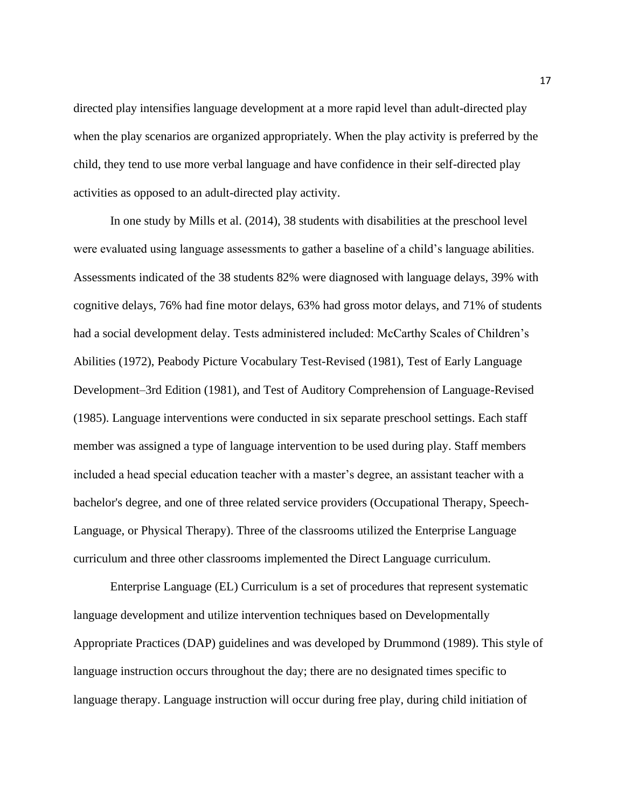directed play intensifies language development at a more rapid level than adult-directed play when the play scenarios are organized appropriately. When the play activity is preferred by the child, they tend to use more verbal language and have confidence in their self-directed play activities as opposed to an adult-directed play activity.

In one study by Mills et al. (2014), 38 students with disabilities at the preschool level were evaluated using language assessments to gather a baseline of a child's language abilities. Assessments indicated of the 38 students 82% were diagnosed with language delays, 39% with cognitive delays, 76% had fine motor delays, 63% had gross motor delays, and 71% of students had a social development delay. Tests administered included: McCarthy Scales of Children's Abilities (1972), Peabody Picture Vocabulary Test-Revised (1981), Test of Early Language Development–3rd Edition (1981), and Test of Auditory Comprehension of Language-Revised (1985). Language interventions were conducted in six separate preschool settings. Each staff member was assigned a type of language intervention to be used during play. Staff members included a head special education teacher with a master's degree, an assistant teacher with a bachelor's degree, and one of three related service providers (Occupational Therapy, Speech-Language, or Physical Therapy). Three of the classrooms utilized the Enterprise Language curriculum and three other classrooms implemented the Direct Language curriculum.

Enterprise Language (EL) Curriculum is a set of procedures that represent systematic language development and utilize intervention techniques based on Developmentally Appropriate Practices (DAP) guidelines and was developed by Drummond (1989). This style of language instruction occurs throughout the day; there are no designated times specific to language therapy. Language instruction will occur during free play, during child initiation of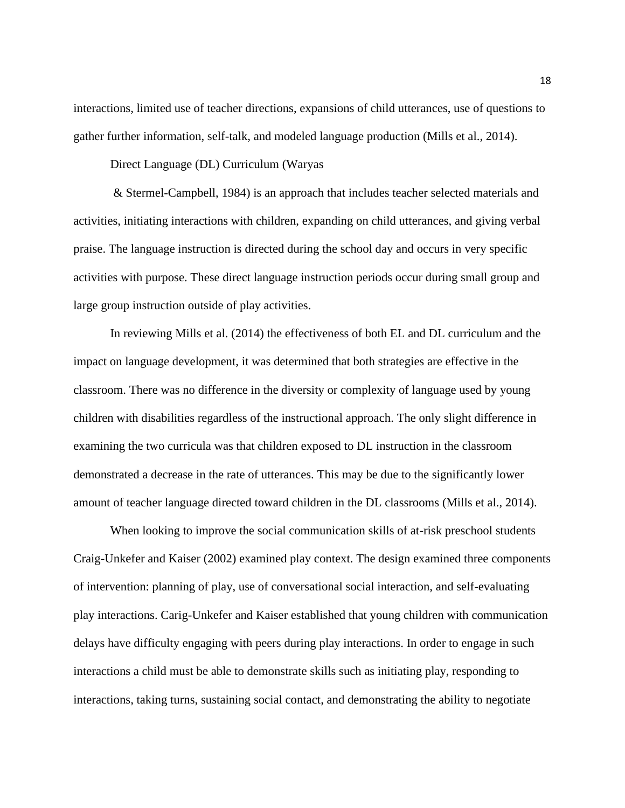interactions, limited use of teacher directions, expansions of child utterances, use of questions to gather further information, self-talk, and modeled language production (Mills et al., 2014).

Direct Language (DL) Curriculum (Waryas

& Stermel-Campbell, 1984) is an approach that includes teacher selected materials and activities, initiating interactions with children, expanding on child utterances, and giving verbal praise. The language instruction is directed during the school day and occurs in very specific activities with purpose. These direct language instruction periods occur during small group and large group instruction outside of play activities.

In reviewing Mills et al. (2014) the effectiveness of both EL and DL curriculum and the impact on language development, it was determined that both strategies are effective in the classroom. There was no difference in the diversity or complexity of language used by young children with disabilities regardless of the instructional approach. The only slight difference in examining the two curricula was that children exposed to DL instruction in the classroom demonstrated a decrease in the rate of utterances. This may be due to the significantly lower amount of teacher language directed toward children in the DL classrooms (Mills et al., 2014).

When looking to improve the social communication skills of at-risk preschool students Craig-Unkefer and Kaiser (2002) examined play context. The design examined three components of intervention: planning of play, use of conversational social interaction, and self-evaluating play interactions. Carig-Unkefer and Kaiser established that young children with communication delays have difficulty engaging with peers during play interactions. In order to engage in such interactions a child must be able to demonstrate skills such as initiating play, responding to interactions, taking turns, sustaining social contact, and demonstrating the ability to negotiate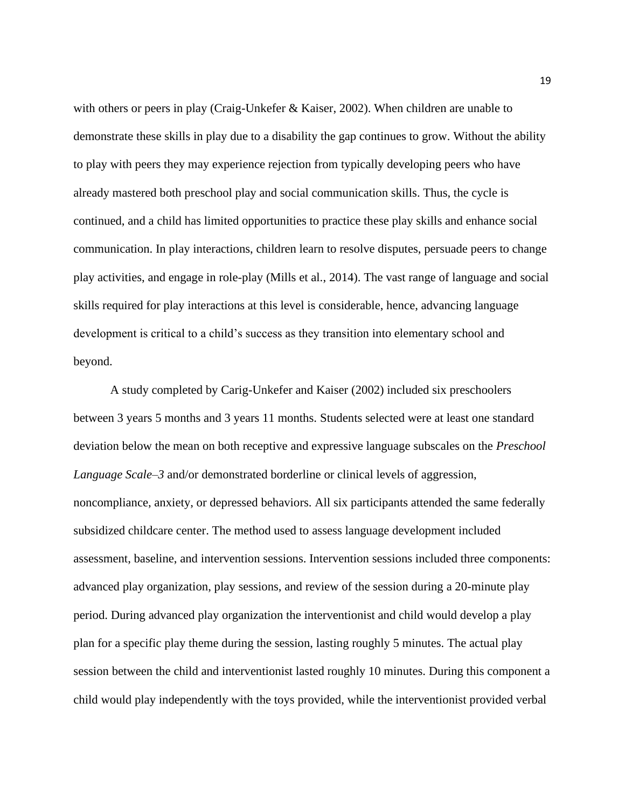with others or peers in play (Craig-Unkefer & Kaiser, 2002). When children are unable to demonstrate these skills in play due to a disability the gap continues to grow. Without the ability to play with peers they may experience rejection from typically developing peers who have already mastered both preschool play and social communication skills. Thus, the cycle is continued, and a child has limited opportunities to practice these play skills and enhance social communication. In play interactions, children learn to resolve disputes, persuade peers to change play activities, and engage in role-play (Mills et al., 2014). The vast range of language and social skills required for play interactions at this level is considerable, hence, advancing language development is critical to a child's success as they transition into elementary school and beyond.

A study completed by Carig-Unkefer and Kaiser (2002) included six preschoolers between 3 years 5 months and 3 years 11 months. Students selected were at least one standard deviation below the mean on both receptive and expressive language subscales on the *Preschool Language Scale–3* and/or demonstrated borderline or clinical levels of aggression, noncompliance, anxiety, or depressed behaviors. All six participants attended the same federally subsidized childcare center. The method used to assess language development included assessment, baseline, and intervention sessions. Intervention sessions included three components: advanced play organization, play sessions, and review of the session during a 20-minute play period. During advanced play organization the interventionist and child would develop a play plan for a specific play theme during the session, lasting roughly 5 minutes. The actual play session between the child and interventionist lasted roughly 10 minutes. During this component a child would play independently with the toys provided, while the interventionist provided verbal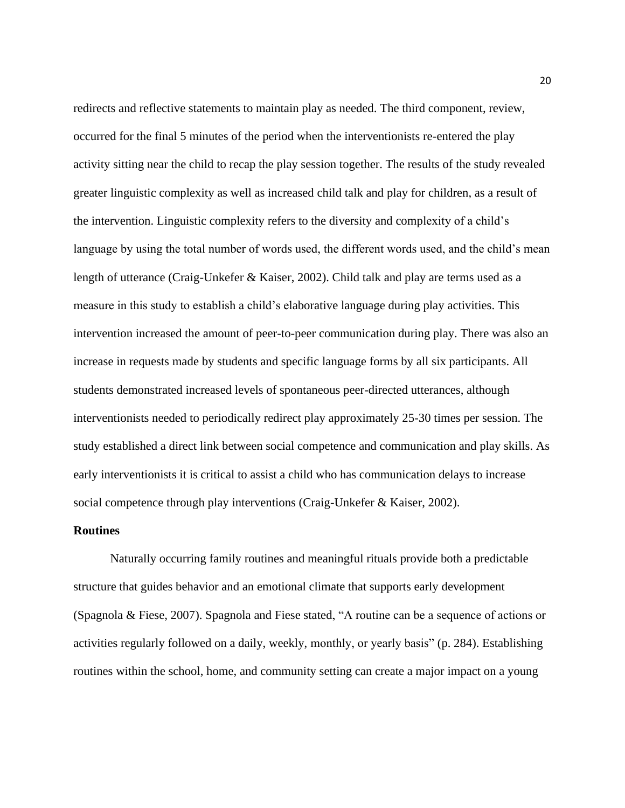redirects and reflective statements to maintain play as needed. The third component, review, occurred for the final 5 minutes of the period when the interventionists re-entered the play activity sitting near the child to recap the play session together. The results of the study revealed greater linguistic complexity as well as increased child talk and play for children, as a result of the intervention. Linguistic complexity refers to the diversity and complexity of a child's language by using the total number of words used, the different words used, and the child's mean length of utterance (Craig-Unkefer & Kaiser, 2002). Child talk and play are terms used as a measure in this study to establish a child's elaborative language during play activities. This intervention increased the amount of peer-to-peer communication during play. There was also an increase in requests made by students and specific language forms by all six participants. All students demonstrated increased levels of spontaneous peer-directed utterances, although interventionists needed to periodically redirect play approximately 25-30 times per session. The study established a direct link between social competence and communication and play skills. As early interventionists it is critical to assist a child who has communication delays to increase social competence through play interventions (Craig-Unkefer & Kaiser, 2002).

### **Routines**

Naturally occurring family routines and meaningful rituals provide both a predictable structure that guides behavior and an emotional climate that supports early development (Spagnola & Fiese, 2007). Spagnola and Fiese stated, "A routine can be a sequence of actions or activities regularly followed on a daily, weekly, monthly, or yearly basis" (p. 284). Establishing routines within the school, home, and community setting can create a major impact on a young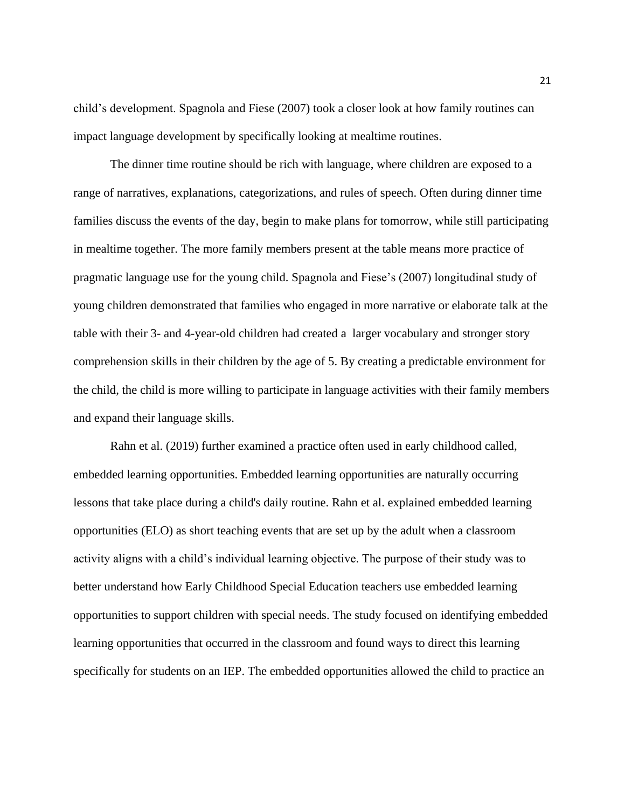child's development. Spagnola and Fiese (2007) took a closer look at how family routines can impact language development by specifically looking at mealtime routines.

The dinner time routine should be rich with language, where children are exposed to a range of narratives, explanations, categorizations, and rules of speech. Often during dinner time families discuss the events of the day, begin to make plans for tomorrow, while still participating in mealtime together. The more family members present at the table means more practice of pragmatic language use for the young child. Spagnola and Fiese's (2007) longitudinal study of young children demonstrated that families who engaged in more narrative or elaborate talk at the table with their 3- and 4-year-old children had created a larger vocabulary and stronger story comprehension skills in their children by the age of 5. By creating a predictable environment for the child, the child is more willing to participate in language activities with their family members and expand their language skills.

Rahn et al. (2019) further examined a practice often used in early childhood called, embedded learning opportunities. Embedded learning opportunities are naturally occurring lessons that take place during a child's daily routine. Rahn et al. explained embedded learning opportunities (ELO) as short teaching events that are set up by the adult when a classroom activity aligns with a child's individual learning objective. The purpose of their study was to better understand how Early Childhood Special Education teachers use embedded learning opportunities to support children with special needs. The study focused on identifying embedded learning opportunities that occurred in the classroom and found ways to direct this learning specifically for students on an IEP. The embedded opportunities allowed the child to practice an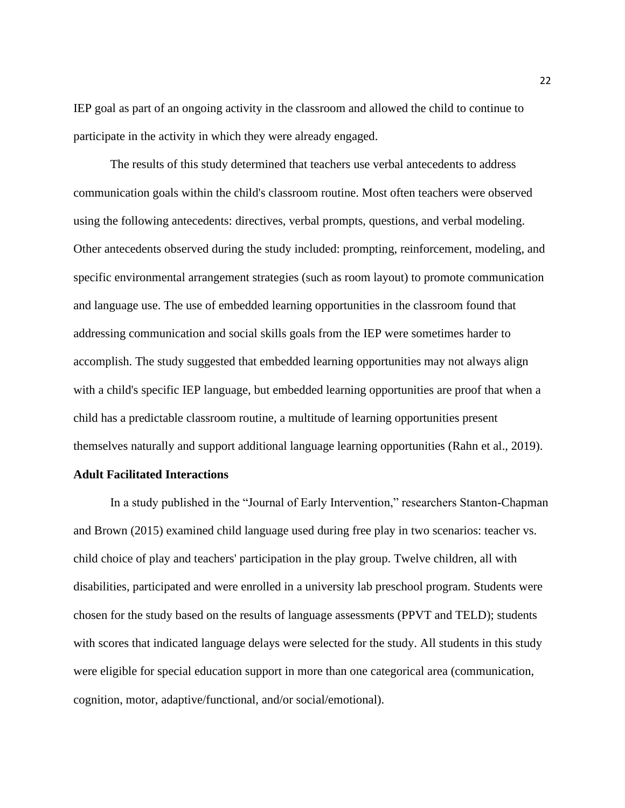IEP goal as part of an ongoing activity in the classroom and allowed the child to continue to participate in the activity in which they were already engaged.

The results of this study determined that teachers use verbal antecedents to address communication goals within the child's classroom routine. Most often teachers were observed using the following antecedents: directives, verbal prompts, questions, and verbal modeling. Other antecedents observed during the study included: prompting, reinforcement, modeling, and specific environmental arrangement strategies (such as room layout) to promote communication and language use. The use of embedded learning opportunities in the classroom found that addressing communication and social skills goals from the IEP were sometimes harder to accomplish. The study suggested that embedded learning opportunities may not always align with a child's specific IEP language, but embedded learning opportunities are proof that when a child has a predictable classroom routine, a multitude of learning opportunities present themselves naturally and support additional language learning opportunities (Rahn et al., 2019).

### **Adult Facilitated Interactions**

In a study published in the "Journal of Early Intervention," researchers Stanton-Chapman and Brown (2015) examined child language used during free play in two scenarios: teacher vs. child choice of play and teachers' participation in the play group. Twelve children, all with disabilities, participated and were enrolled in a university lab preschool program. Students were chosen for the study based on the results of language assessments (PPVT and TELD); students with scores that indicated language delays were selected for the study. All students in this study were eligible for special education support in more than one categorical area (communication, cognition, motor, adaptive/functional, and/or social/emotional).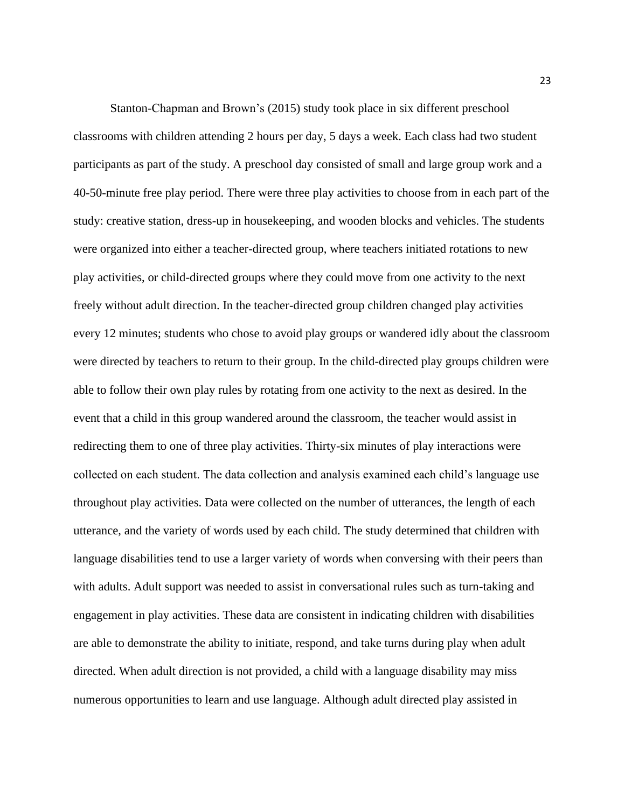Stanton-Chapman and Brown's (2015) study took place in six different preschool classrooms with children attending 2 hours per day, 5 days a week. Each class had two student participants as part of the study. A preschool day consisted of small and large group work and a 40-50-minute free play period. There were three play activities to choose from in each part of the study: creative station, dress-up in housekeeping, and wooden blocks and vehicles. The students were organized into either a teacher-directed group, where teachers initiated rotations to new play activities, or child-directed groups where they could move from one activity to the next freely without adult direction. In the teacher-directed group children changed play activities every 12 minutes; students who chose to avoid play groups or wandered idly about the classroom were directed by teachers to return to their group. In the child-directed play groups children were able to follow their own play rules by rotating from one activity to the next as desired. In the event that a child in this group wandered around the classroom, the teacher would assist in redirecting them to one of three play activities. Thirty-six minutes of play interactions were collected on each student. The data collection and analysis examined each child's language use throughout play activities. Data were collected on the number of utterances, the length of each utterance, and the variety of words used by each child. The study determined that children with language disabilities tend to use a larger variety of words when conversing with their peers than with adults. Adult support was needed to assist in conversational rules such as turn-taking and engagement in play activities. These data are consistent in indicating children with disabilities are able to demonstrate the ability to initiate, respond, and take turns during play when adult directed. When adult direction is not provided, a child with a language disability may miss numerous opportunities to learn and use language. Although adult directed play assisted in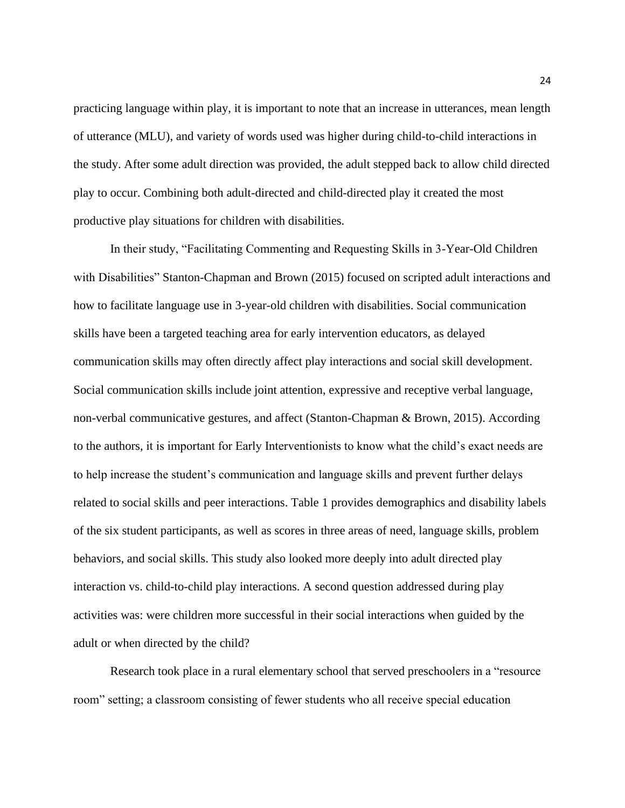practicing language within play, it is important to note that an increase in utterances, mean length of utterance (MLU), and variety of words used was higher during child-to-child interactions in the study. After some adult direction was provided, the adult stepped back to allow child directed play to occur. Combining both adult-directed and child-directed play it created the most productive play situations for children with disabilities.

In their study, "Facilitating Commenting and Requesting Skills in 3-Year-Old Children with Disabilities" Stanton-Chapman and Brown (2015) focused on scripted adult interactions and how to facilitate language use in 3-year-old children with disabilities. Social communication skills have been a targeted teaching area for early intervention educators, as delayed communication skills may often directly affect play interactions and social skill development. Social communication skills include joint attention, expressive and receptive verbal language, non-verbal communicative gestures, and affect (Stanton-Chapman & Brown, 2015). According to the authors, it is important for Early Interventionists to know what the child's exact needs are to help increase the student's communication and language skills and prevent further delays related to social skills and peer interactions. Table 1 provides demographics and disability labels of the six student participants, as well as scores in three areas of need, language skills, problem behaviors, and social skills. This study also looked more deeply into adult directed play interaction vs. child-to-child play interactions. A second question addressed during play activities was: were children more successful in their social interactions when guided by the adult or when directed by the child?

Research took place in a rural elementary school that served preschoolers in a "resource room" setting; a classroom consisting of fewer students who all receive special education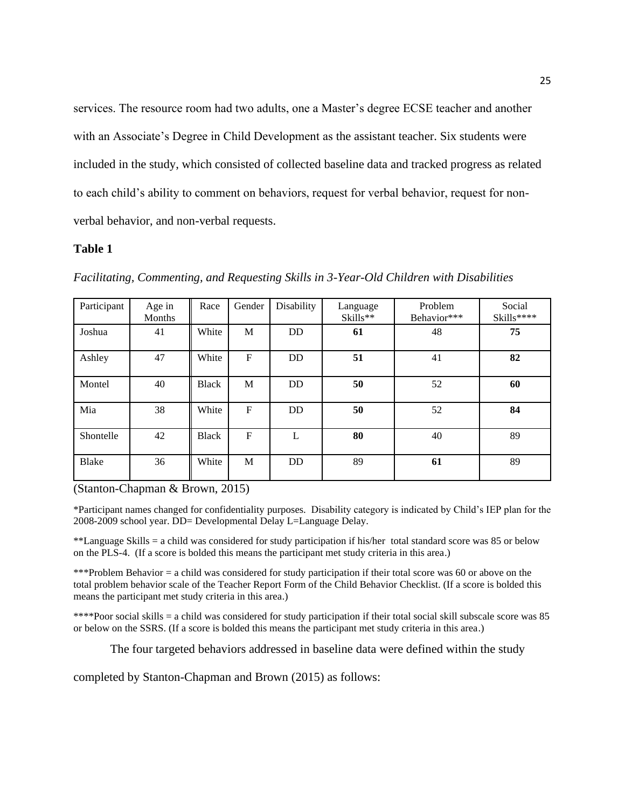services. The resource room had two adults, one a Master's degree ECSE teacher and another with an Associate's Degree in Child Development as the assistant teacher. Six students were included in the study, which consisted of collected baseline data and tracked progress as related to each child's ability to comment on behaviors, request for verbal behavior, request for nonverbal behavior, and non-verbal requests.

### **Table 1**

| Participant | Age in<br>Months | Race         | Gender       | Disability | Language<br>$Skills**$ | Problem<br>Behavior*** | Social<br>Skills**** |
|-------------|------------------|--------------|--------------|------------|------------------------|------------------------|----------------------|
| Joshua      | 41               | White        | M            | DD         | 61                     | 48                     | 75                   |
| Ashley      | 47               | White        | $\mathbf{F}$ | <b>DD</b>  | 51                     | 41                     | 82                   |
| Montel      | 40               | <b>Black</b> | M            | DD         | 50                     | 52                     | 60                   |
| Mia         | 38               | White        | $\mathbf F$  | <b>DD</b>  | 50                     | 52                     | 84                   |
| Shontelle   | 42               | <b>Black</b> | $\mathbf{F}$ | L          | 80                     | 40                     | 89                   |
| Blake       | 36               | White        | M            | DD         | 89                     | 61                     | 89                   |

*Facilitating, Commenting, and Requesting Skills in 3-Year-Old Children with Disabilities*

(Stanton-Chapman & Brown, 2015)

\*Participant names changed for confidentiality purposes. Disability category is indicated by Child's IEP plan for the 2008-2009 school year. DD= Developmental Delay L=Language Delay.

\*\*Language Skills = a child was considered for study participation if his/her total standard score was 85 or below on the PLS-4. (If a score is bolded this means the participant met study criteria in this area.)

\*\*\*Problem Behavior = a child was considered for study participation if their total score was 60 or above on the total problem behavior scale of the Teacher Report Form of the Child Behavior Checklist. (If a score is bolded this means the participant met study criteria in this area.)

\*\*\*\*Poor social skills = a child was considered for study participation if their total social skill subscale score was 85 or below on the SSRS. (If a score is bolded this means the participant met study criteria in this area.)

The four targeted behaviors addressed in baseline data were defined within the study

completed by Stanton-Chapman and Brown (2015) as follows: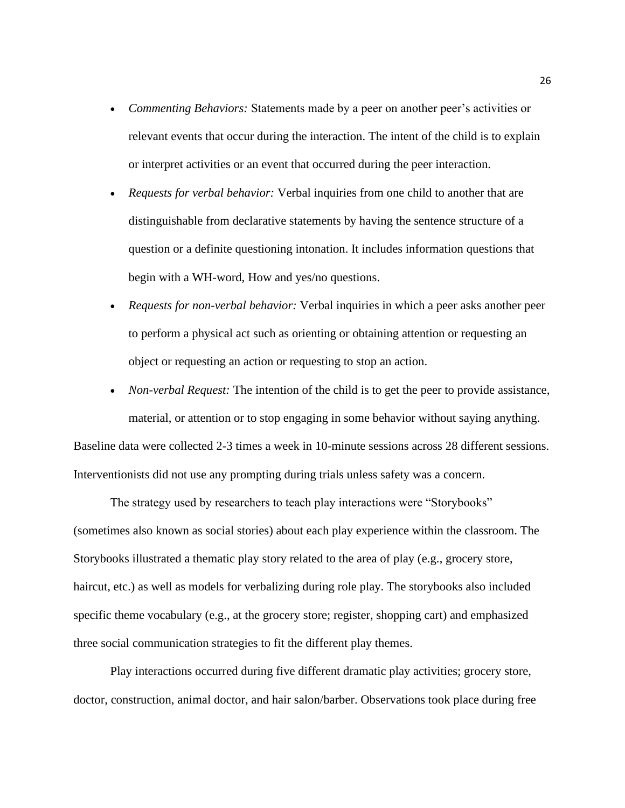- *Commenting Behaviors:* Statements made by a peer on another peer's activities or relevant events that occur during the interaction. The intent of the child is to explain or interpret activities or an event that occurred during the peer interaction.
- *Requests for verbal behavior:* Verbal inquiries from one child to another that are distinguishable from declarative statements by having the sentence structure of a question or a definite questioning intonation. It includes information questions that begin with a WH-word, How and yes/no questions.
- *Requests for non-verbal behavior:* Verbal inquiries in which a peer asks another peer to perform a physical act such as orienting or obtaining attention or requesting an object or requesting an action or requesting to stop an action.
- *Non-verbal Request:* The intention of the child is to get the peer to provide assistance, material, or attention or to stop engaging in some behavior without saying anything. Baseline data were collected 2-3 times a week in 10-minute sessions across 28 different sessions. Interventionists did not use any prompting during trials unless safety was a concern.

The strategy used by researchers to teach play interactions were "Storybooks" (sometimes also known as social stories) about each play experience within the classroom. The Storybooks illustrated a thematic play story related to the area of play (e.g., grocery store, haircut, etc.) as well as models for verbalizing during role play. The storybooks also included specific theme vocabulary (e.g., at the grocery store; register, shopping cart) and emphasized three social communication strategies to fit the different play themes.

Play interactions occurred during five different dramatic play activities; grocery store, doctor, construction, animal doctor, and hair salon/barber. Observations took place during free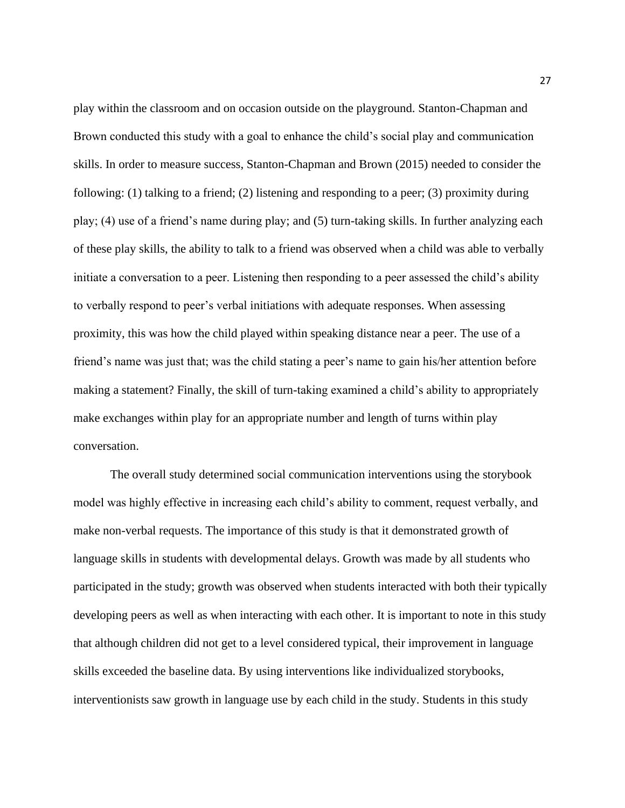play within the classroom and on occasion outside on the playground. Stanton-Chapman and Brown conducted this study with a goal to enhance the child's social play and communication skills. In order to measure success, Stanton-Chapman and Brown (2015) needed to consider the following: (1) talking to a friend; (2) listening and responding to a peer; (3) proximity during play; (4) use of a friend's name during play; and (5) turn-taking skills. In further analyzing each of these play skills, the ability to talk to a friend was observed when a child was able to verbally initiate a conversation to a peer. Listening then responding to a peer assessed the child's ability to verbally respond to peer's verbal initiations with adequate responses. When assessing proximity, this was how the child played within speaking distance near a peer. The use of a friend's name was just that; was the child stating a peer's name to gain his/her attention before making a statement? Finally, the skill of turn-taking examined a child's ability to appropriately make exchanges within play for an appropriate number and length of turns within play conversation.

The overall study determined social communication interventions using the storybook model was highly effective in increasing each child's ability to comment, request verbally, and make non-verbal requests. The importance of this study is that it demonstrated growth of language skills in students with developmental delays. Growth was made by all students who participated in the study; growth was observed when students interacted with both their typically developing peers as well as when interacting with each other. It is important to note in this study that although children did not get to a level considered typical, their improvement in language skills exceeded the baseline data. By using interventions like individualized storybooks, interventionists saw growth in language use by each child in the study. Students in this study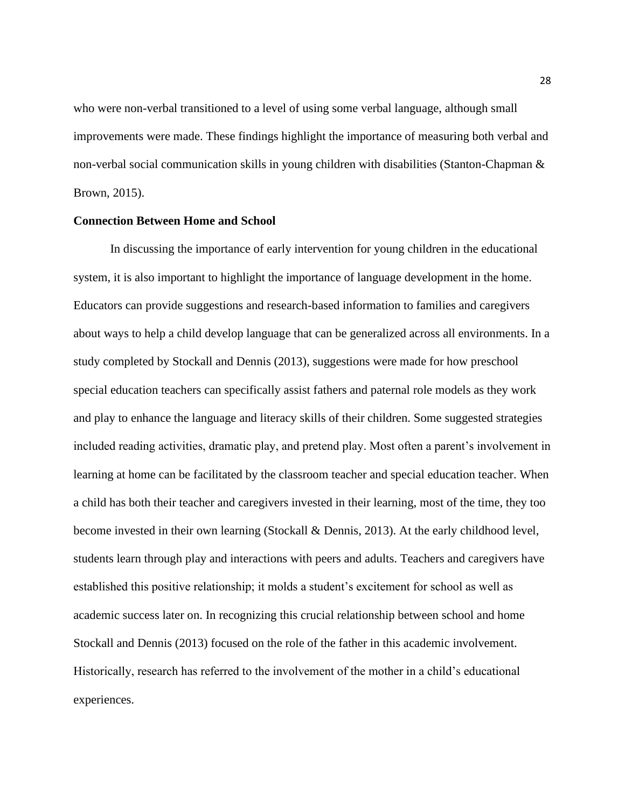who were non-verbal transitioned to a level of using some verbal language, although small improvements were made. These findings highlight the importance of measuring both verbal and non-verbal social communication skills in young children with disabilities (Stanton-Chapman & Brown, 2015).

### **Connection Between Home and School**

In discussing the importance of early intervention for young children in the educational system, it is also important to highlight the importance of language development in the home. Educators can provide suggestions and research-based information to families and caregivers about ways to help a child develop language that can be generalized across all environments. In a study completed by Stockall and Dennis (2013), suggestions were made for how preschool special education teachers can specifically assist fathers and paternal role models as they work and play to enhance the language and literacy skills of their children. Some suggested strategies included reading activities, dramatic play, and pretend play. Most often a parent's involvement in learning at home can be facilitated by the classroom teacher and special education teacher. When a child has both their teacher and caregivers invested in their learning, most of the time, they too become invested in their own learning (Stockall & Dennis, 2013). At the early childhood level, students learn through play and interactions with peers and adults. Teachers and caregivers have established this positive relationship; it molds a student's excitement for school as well as academic success later on. In recognizing this crucial relationship between school and home Stockall and Dennis (2013) focused on the role of the father in this academic involvement. Historically, research has referred to the involvement of the mother in a child's educational experiences.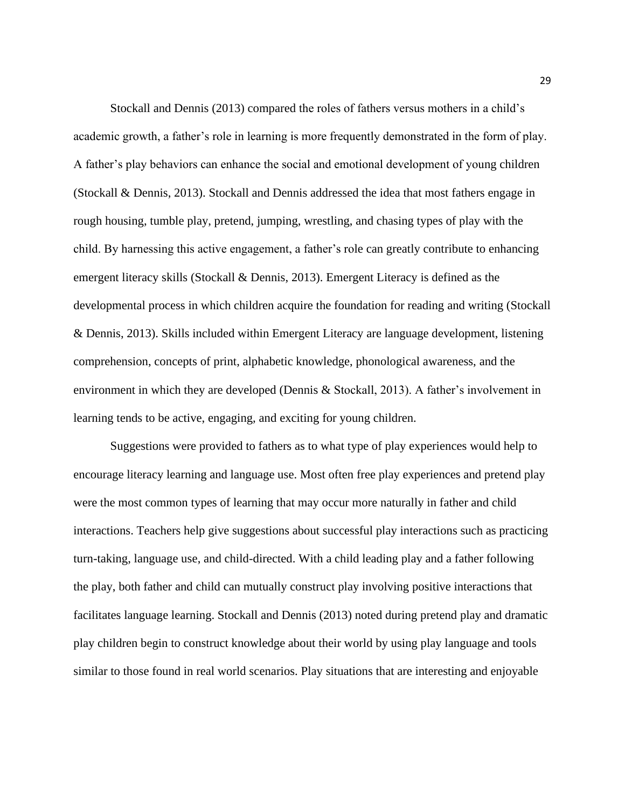Stockall and Dennis (2013) compared the roles of fathers versus mothers in a child's academic growth, a father's role in learning is more frequently demonstrated in the form of play. A father's play behaviors can enhance the social and emotional development of young children (Stockall & Dennis, 2013). Stockall and Dennis addressed the idea that most fathers engage in rough housing, tumble play, pretend, jumping, wrestling, and chasing types of play with the child. By harnessing this active engagement, a father's role can greatly contribute to enhancing emergent literacy skills (Stockall & Dennis, 2013). Emergent Literacy is defined as the developmental process in which children acquire the foundation for reading and writing (Stockall & Dennis, 2013). Skills included within Emergent Literacy are language development, listening comprehension, concepts of print, alphabetic knowledge, phonological awareness, and the environment in which they are developed (Dennis & Stockall, 2013). A father's involvement in learning tends to be active, engaging, and exciting for young children.

Suggestions were provided to fathers as to what type of play experiences would help to encourage literacy learning and language use. Most often free play experiences and pretend play were the most common types of learning that may occur more naturally in father and child interactions. Teachers help give suggestions about successful play interactions such as practicing turn-taking, language use, and child-directed. With a child leading play and a father following the play, both father and child can mutually construct play involving positive interactions that facilitates language learning. Stockall and Dennis (2013) noted during pretend play and dramatic play children begin to construct knowledge about their world by using play language and tools similar to those found in real world scenarios. Play situations that are interesting and enjoyable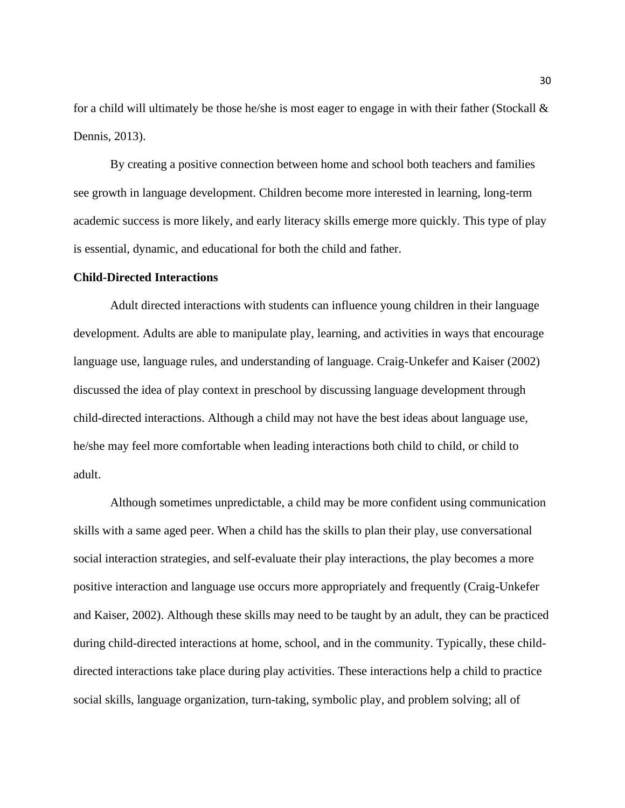for a child will ultimately be those he/she is most eager to engage in with their father (Stockall  $\&$ Dennis, 2013).

By creating a positive connection between home and school both teachers and families see growth in language development. Children become more interested in learning, long-term academic success is more likely, and early literacy skills emerge more quickly. This type of play is essential, dynamic, and educational for both the child and father.

### **Child-Directed Interactions**

Adult directed interactions with students can influence young children in their language development. Adults are able to manipulate play, learning, and activities in ways that encourage language use, language rules, and understanding of language. Craig-Unkefer and Kaiser (2002) discussed the idea of play context in preschool by discussing language development through child-directed interactions. Although a child may not have the best ideas about language use, he/she may feel more comfortable when leading interactions both child to child, or child to adult.

Although sometimes unpredictable, a child may be more confident using communication skills with a same aged peer. When a child has the skills to plan their play, use conversational social interaction strategies, and self-evaluate their play interactions, the play becomes a more positive interaction and language use occurs more appropriately and frequently (Craig-Unkefer and Kaiser, 2002). Although these skills may need to be taught by an adult, they can be practiced during child-directed interactions at home, school, and in the community. Typically, these childdirected interactions take place during play activities. These interactions help a child to practice social skills, language organization, turn-taking, symbolic play, and problem solving; all of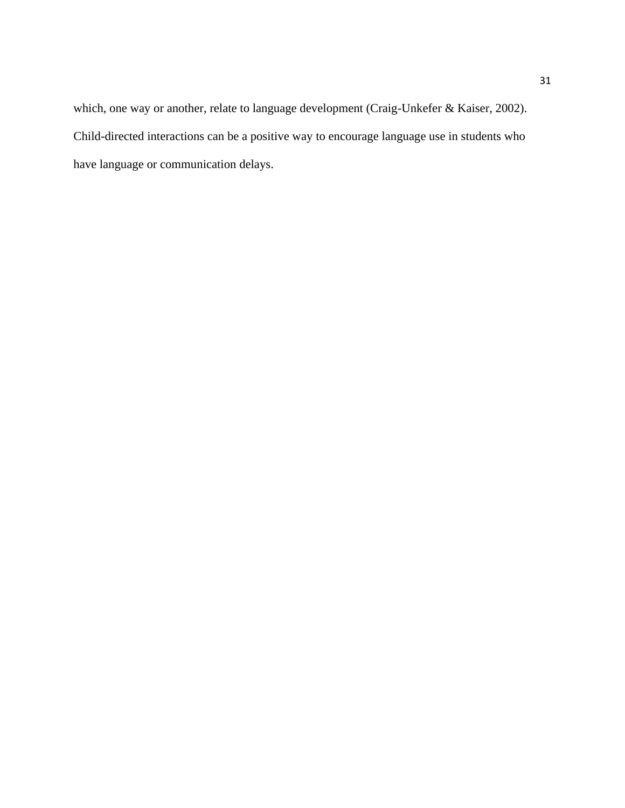which, one way or another, relate to language development (Craig-Unkefer & Kaiser, 2002). Child-directed interactions can be a positive way to encourage language use in students who have language or communication delays.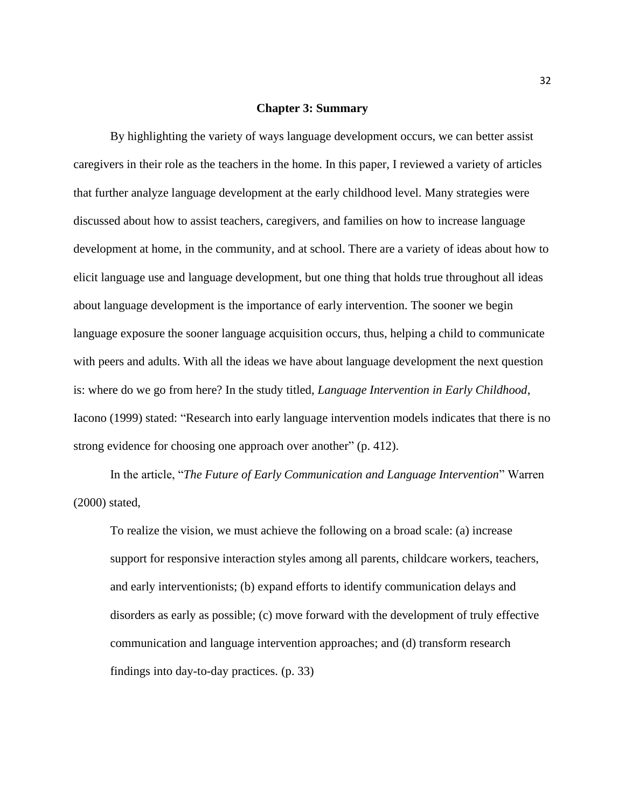### **Chapter 3: Summary**

By highlighting the variety of ways language development occurs, we can better assist caregivers in their role as the teachers in the home. In this paper, I reviewed a variety of articles that further analyze language development at the early childhood level. Many strategies were discussed about how to assist teachers, caregivers, and families on how to increase language development at home, in the community, and at school. There are a variety of ideas about how to elicit language use and language development, but one thing that holds true throughout all ideas about language development is the importance of early intervention. The sooner we begin language exposure the sooner language acquisition occurs, thus, helping a child to communicate with peers and adults. With all the ideas we have about language development the next question is: where do we go from here? In the study titled, *Language Intervention in Early Childhood*, Iacono (1999) stated: "Research into early language intervention models indicates that there is no strong evidence for choosing one approach over another" (p. 412).

In the article, "*The Future of Early Communication and Language Intervention*" Warren (2000) stated,

To realize the vision, we must achieve the following on a broad scale: (a) increase support for responsive interaction styles among all parents, childcare workers, teachers, and early interventionists; (b) expand efforts to identify communication delays and disorders as early as possible; (c) move forward with the development of truly effective communication and language intervention approaches; and (d) transform research findings into day-to-day practices. (p. 33)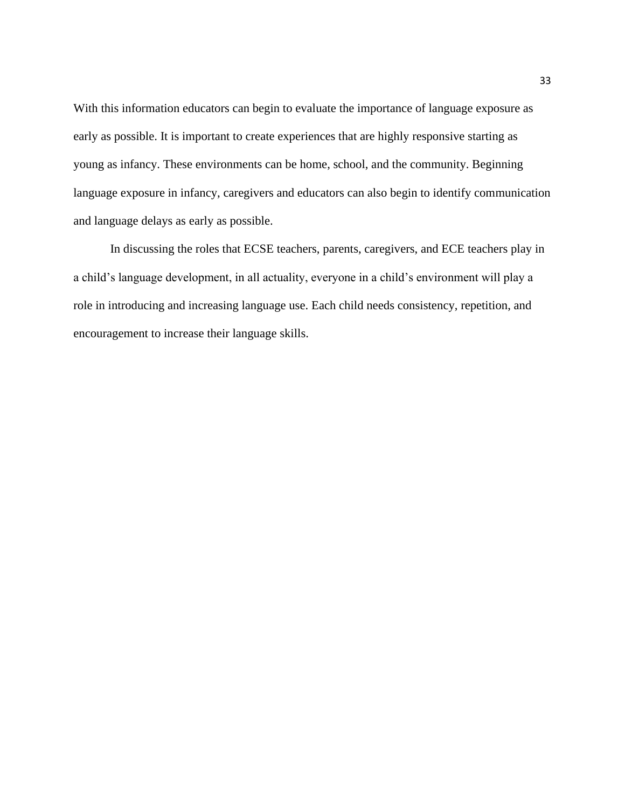With this information educators can begin to evaluate the importance of language exposure as early as possible. It is important to create experiences that are highly responsive starting as young as infancy. These environments can be home, school, and the community. Beginning language exposure in infancy, caregivers and educators can also begin to identify communication and language delays as early as possible.

In discussing the roles that ECSE teachers, parents, caregivers, and ECE teachers play in a child's language development, in all actuality, everyone in a child's environment will play a role in introducing and increasing language use. Each child needs consistency, repetition, and encouragement to increase their language skills.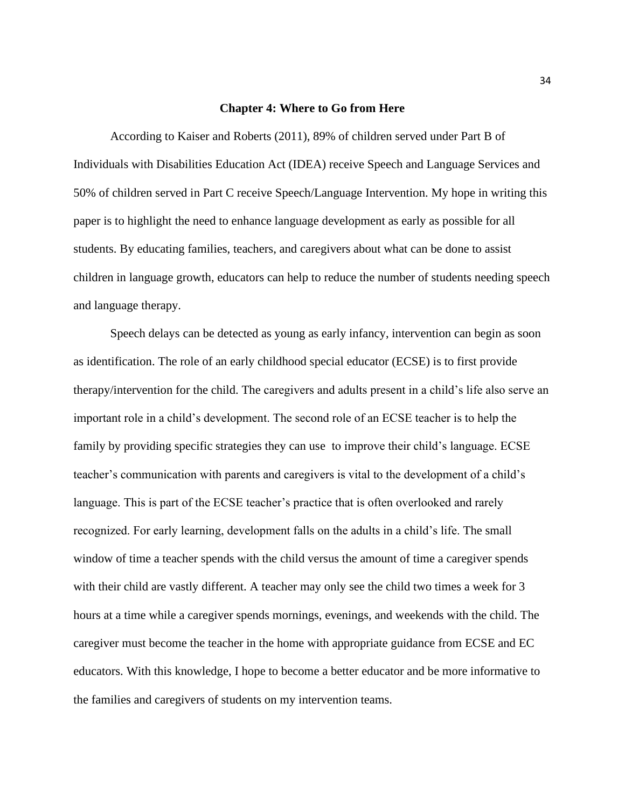### **Chapter 4: Where to Go from Here**

According to Kaiser and Roberts (2011), 89% of children served under Part B of Individuals with Disabilities Education Act (IDEA) receive Speech and Language Services and 50% of children served in Part C receive Speech/Language Intervention. My hope in writing this paper is to highlight the need to enhance language development as early as possible for all students. By educating families, teachers, and caregivers about what can be done to assist children in language growth, educators can help to reduce the number of students needing speech and language therapy.

Speech delays can be detected as young as early infancy, intervention can begin as soon as identification. The role of an early childhood special educator (ECSE) is to first provide therapy/intervention for the child. The caregivers and adults present in a child's life also serve an important role in a child's development. The second role of an ECSE teacher is to help the family by providing specific strategies they can use to improve their child's language. ECSE teacher's communication with parents and caregivers is vital to the development of a child's language. This is part of the ECSE teacher's practice that is often overlooked and rarely recognized. For early learning, development falls on the adults in a child's life. The small window of time a teacher spends with the child versus the amount of time a caregiver spends with their child are vastly different. A teacher may only see the child two times a week for 3 hours at a time while a caregiver spends mornings, evenings, and weekends with the child. The caregiver must become the teacher in the home with appropriate guidance from ECSE and EC educators. With this knowledge, I hope to become a better educator and be more informative to the families and caregivers of students on my intervention teams.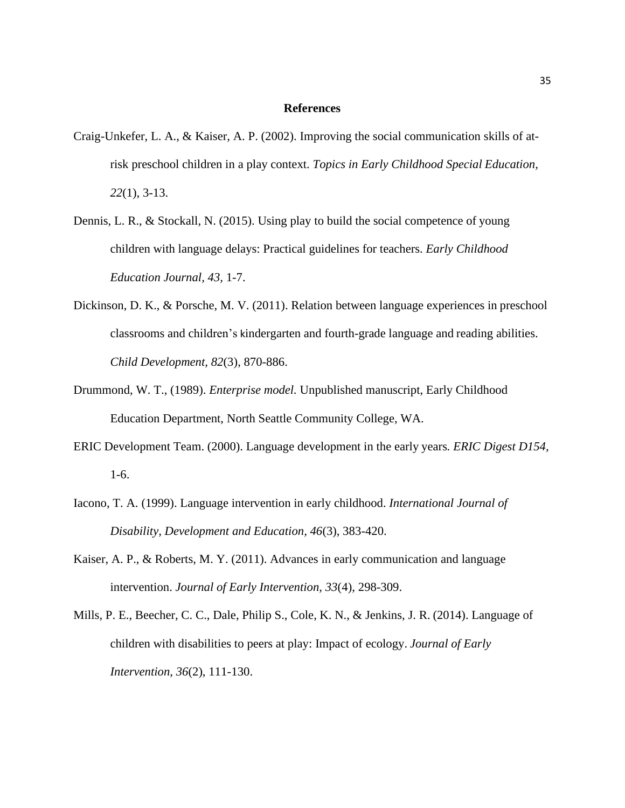### **References**

- Craig-Unkefer, L. A., & Kaiser, A. P. (2002). Improving the social communication skills of atrisk preschool children in a play context. *Topics in Early Childhood Special Education, 22*(1), 3-13.
- Dennis, L. R., & Stockall, N. (2015). Using play to build the social competence of young children with language delays: Practical guidelines for teachers. *Early Childhood Education Journal, 43,* 1-7.
- Dickinson, D. K., & Porsche, M. V. (2011). Relation between language experiences in preschool classrooms and children's kindergarten and fourth-grade language and reading abilities. *Child Development, 82*(3), 870-886.
- Drummond, W. T., (1989). *Enterprise model.* Unpublished manuscript, Early Childhood Education Department, North Seattle Community College, WA.
- ERIC Development Team. (2000). Language development in the early years*. ERIC Digest D154,*  1-6.
- Iacono, T. A. (1999). Language intervention in early childhood. *International Journal of Disability, Development and Education, 46*(3), 383-420.
- Kaiser, A. P., & Roberts, M. Y. (2011). Advances in early communication and language intervention. *Journal of Early Intervention, 33*(4), 298-309.
- Mills, P. E., Beecher, C. C., Dale, Philip S., Cole, K. N., & Jenkins, J. R. (2014). Language of children with disabilities to peers at play: Impact of ecology. *Journal of Early Intervention, 36*(2), 111-130.